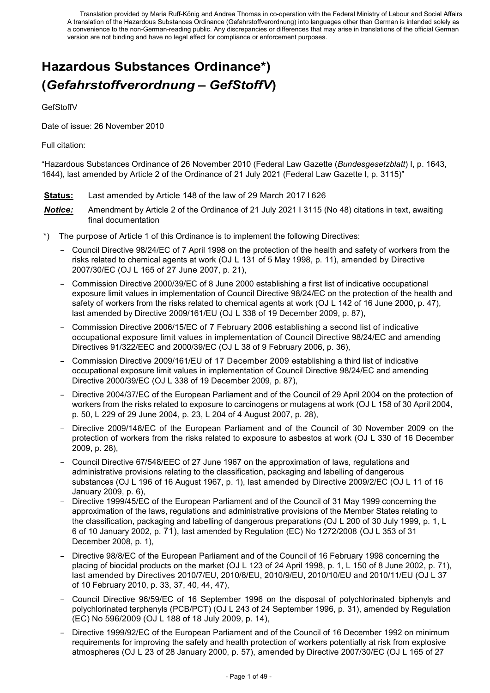# **Hazardous Substances Ordinance\*) (***Gefahrstoffverordnung – GefStoffV***)**

GefStoffV

Date of issue: 26 November 2010

#### Full citation:

"Hazardous Substances Ordinance of 26 November 2010 (Federal Law Gazette (*Bundesgesetzblatt*) I, p. 1643, 1644), last amended by Article 2 of the Ordinance of 21 July 2021 (Federal Law Gazette I, p. 3115)"

- **Status:** Last amended by Article 148 of the law of 29 March 2017 I 626
- *Notice:* Amendment by Article 2 of the Ordinance of 21 July 2021 I 3115 (No 48) citations in text, awaiting final documentation
- \*) The purpose of Article 1 of this Ordinance is to implement the following Directives:
	- Council Directive 98/24/EC of 7 April 1998 on the protection of the health and safety of workers from the risks related to chemical agents at work (OJ L 131 of 5 May 1998, p. 11), amended by Directive 2007/30/EC (OJ L 165 of 27 June 2007, p. 21),
	- Commission Directive 2000/39/EC of 8 June 2000 establishing a first list of indicative occupational exposure limit values in implementation of Council Directive 98/24/EC on the protection of the health and safety of workers from the risks related to chemical agents at work (OJ L 142 of 16 June 2000, p. 47). last amended by Directive 2009/161/EU (OJ L 338 of 19 December 2009, p. 87),
	- Commission Directive 2006/15/EC of 7 February 2006 establishing a second list of indicative occupational exposure limit values in implementation of Council Directive 98/24/EC and amending Directives 91/322/EEC and 2000/39/EC (OJ L 38 of 9 February 2006, p. 36),
	- Commission Directive 2009/161/EU of 17 December 2009 establishing a third list of indicative occupational exposure limit values in implementation of Council Directive 98/24/EC and amending Directive 2000/39/EC (OJ L 338 of 19 December 2009, p. 87),
	- Directive 2004/37/EC of the European Parliament and of the Council of 29 April 2004 on the protection of workers from the risks related to exposure to carcinogens or mutagens at work (OJ L 158 of 30 April 2004, p. 50, L 229 of 29 June 2004, p. 23, L 204 of 4 August 2007, p. 28),
	- Directive 2009/148/EC of the European Parliament and of the Council of 30 November 2009 on the protection of workers from the risks related to exposure to asbestos at work (OJ L 330 of 16 December 2009, p. 28),
	- Council Directive 67/548/EEC of 27 June 1967 on the approximation of laws, regulations and administrative provisions relating to the classification, packaging and labelling of dangerous substances (OJ L 196 of 16 August 1967, p. 1), last amended by Directive 2009/2/EC (OJ L 11 of 16 January 2009, p. 6),
	- Directive 1999/45/EC of the European Parliament and of the Council of 31 May 1999 concerning the approximation of the laws, regulations and administrative provisions of the Member States relating to the classification, packaging and labelling of dangerous preparations (OJ L 200 of 30 July 1999, p. 1, L 6 of 10 January 2002, p. 71), last amended by Regulation (EC) No 1272/2008 (OJ L 353 of 31 December 2008, p. 1),
	- Directive 98/8/EC of the European Parliament and of the Council of 16 February 1998 concerning the placing of biocidal products on the market (OJ L 123 of 24 April 1998, p. 1, L 150 of 8 June 2002, p. 71), last amended by Directives 2010/7/EU, 2010/8/EU, 2010/9/EU, 2010/10/EU and 2010/11/EU (OJ L 37 of 10 February 2010, p. 33, 37, 40, 44, 47),
	- Council Directive 96/59/EC of 16 September 1996 on the disposal of polychlorinated biphenyls and polychlorinated terphenyls (PCB/PCT) (OJ L 243 of 24 September 1996, p. 31), amended by Regulation (EC) No 596/2009 (OJ L 188 of 18 July 2009, p. 14),
	- Directive 1999/92/EC of the European Parliament and of the Council of 16 December 1992 on minimum requirements for improving the safety and health protection of workers potentially at risk from explosive atmospheres (OJ L 23 of 28 January 2000, p. 57), amended by Directive 2007/30/EC (OJ L 165 of 27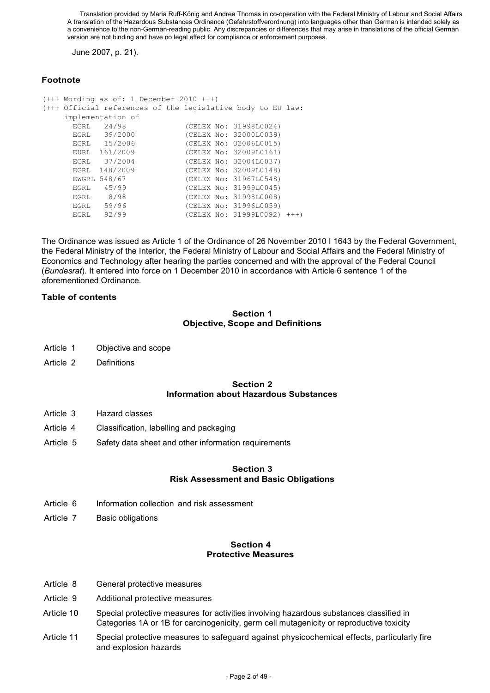June 2007, p. 21).

# **Footnote**

|      | $(++$ Wording as of: 1 December 2010 $++$ )                 |                             |  |
|------|-------------------------------------------------------------|-----------------------------|--|
|      | (+++ Official references of the legislative body to EU law: |                             |  |
|      | implementation of                                           |                             |  |
|      | EGRL 24/98                                                  | (CELEX No: 31998L0024)      |  |
|      | EGRL 39/2000                                                | (CELEX No: 32000L0039)      |  |
|      | EGRL 15/2006                                                | (CELEX No: 32006L0015)      |  |
|      | EURL 161/2009                                               | (CELEX No: 32009L0161)      |  |
|      | EGRL 37/2004                                                | (CELEX No: 32004L0037)      |  |
| EGRL | 148/2009                                                    | (CELEX No: 32009L0148)      |  |
|      | EWGRL 548/67                                                | (CELEX No: 31967L0548)      |  |
| EGRL | 45/99                                                       | (CELEX No: 31999L0045)      |  |
|      | EGRL 8/98                                                   | (CELEX No: 31998L0008)      |  |
|      | EGRL 59/96                                                  | (CELEX No: 31996L0059)      |  |
| EGRL | 92/99                                                       | (CELEX No: 31999L0092) +++) |  |

The Ordinance was issued as Article 1 of the Ordinance of 26 November 2010 I 1643 by the Federal Government, the Federal Ministry of the Interior, the Federal Ministry of Labour and Social Affairs and the Federal Ministry of Economics and Technology after hearing the parties concerned and with the approval of the Federal Council (*Bundesrat*). It entered into force on 1 December 2010 in accordance with Article 6 sentence 1 of the aforementioned Ordinance.

#### **Table of contents**

#### **Section 1 Objective, Scope and Definitions**

- Article 1 Objective and scope
- Article 2 Definitions

#### **Section 2 Information about Hazardous Substances**

- Article 3 Hazard classes
- Article 4 Classification, labelling and packaging
- Article 5 Safety data sheet and other information requirements

#### **Section 3 Risk Assessment and Basic Obligations**

- Article 6 Information collection and risk assessment
- Article 7 Basic obligations

#### **Section 4 Protective Measures**

- Article 8 General protective measures
- Article 9 Additional protective measures
- Article 10 Special protective measures for activities involving hazardous substances classified in Categories 1A or 1B for carcinogenicity, germ cell mutagenicity or reproductive toxicity
- Article 11 Special protective measures to safeguard against physicochemical effects, particularly fire and explosion hazards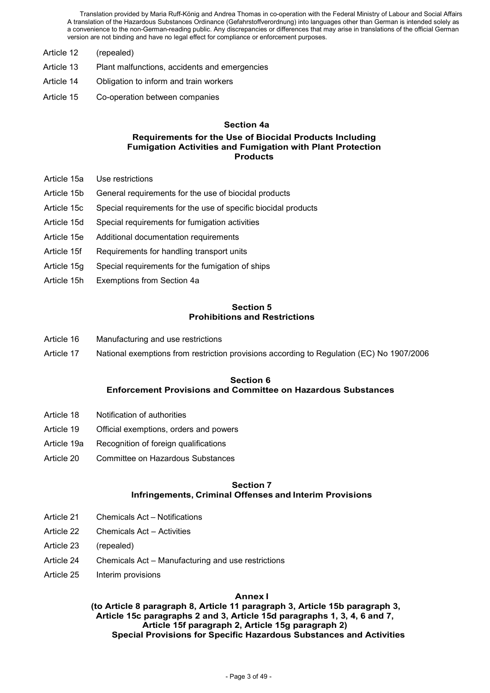- Article 12 (repealed)
- Article 13 Plant malfunctions, accidents and emergencies
- Article 14 Obligation to inform and train workers
- Article 15 Co-operation between companies

#### **Section 4a**

#### **Requirements for the Use of Biocidal Products Including Fumigation Activities and Fumigation with Plant Protection Products**

- Article 15a Use restrictions
- Article 15b General requirements for the use of biocidal products
- Article 15c Special requirements for the use of specific biocidal products
- Article 15d Special requirements for fumigation activities
- Article 15e Additional documentation requirements
- Article 15f Requirements for handling transport units
- Article 15g Special requirements for the fumigation of ships
- Article 15h Exemptions from Section 4a

#### **Section 5 Prohibitions and Restrictions**

- Article 16 Manufacturing and use restrictions
- Article 17 National exemptions from restriction provisions according to Regulation (EC) No 1907/2006

#### **Section 6 Enforcement Provisions and Committee on Hazardous Substances**

- Article 18 Notification of authorities
- Article 19 Official exemptions, orders and powers
- Article 19a Recognition of foreign qualifications
- Article 20 Committee on Hazardous Substances

#### **Section 7 Infringements, Criminal Offenses and Interim Provisions**

- Article 21 Chemicals Act Notifications
- Article 22 Chemicals Act Activities
- Article 23 (repealed)
- Article 24 Chemicals Act Manufacturing and use restrictions
- Article 25 Interim provisions

#### **Annex I**

**(to Article 8 paragraph 8, Article 11 paragraph 3, Article 15b paragraph 3, Article 15c paragraphs 2 and 3, Article 15d paragraphs 1, 3, 4, 6 and 7, Article 15f paragraph 2, Article 15g paragraph 2) Special Provisions for Specific Hazardous Substances and Activities**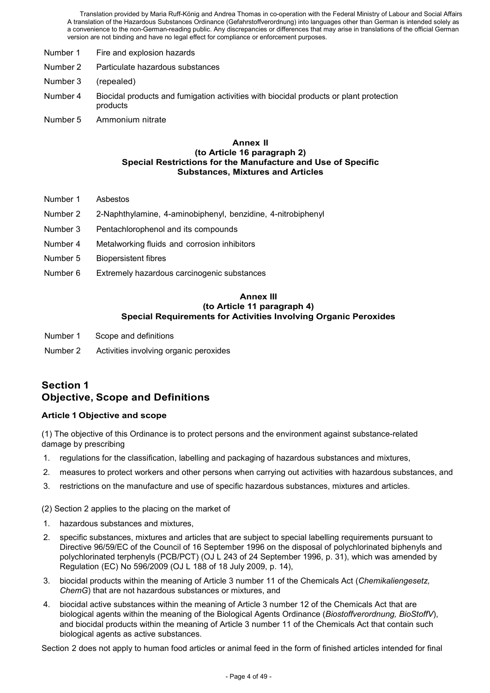- Number 1 Fire and explosion hazards
- Number 2 Particulate hazardous substances
- Number 3 (repealed)
- Number 4 Biocidal products and fumigation activities with biocidal products or plant protection products
- Number 5 Ammonium nitrate

#### **Annex II (to Article 16 paragraph 2) Special Restrictions for the Manufacture and Use of Specific Substances, Mixtures and Articles**

- Number 1 Asbestos
- Number 2 2-Naphthylamine, 4-aminobiphenyl, benzidine, 4-nitrobiphenyl
- Number 3 Pentachlorophenol and its compounds
- Number 4 Metalworking fluids and corrosion inhibitors
- Number 5 Biopersistent fibres
- Number 6 Extremely hazardous carcinogenic substances

#### **Annex III (to Article 11 paragraph 4) Special Requirements for Activities Involving Organic Peroxides**

- Number 1 Scope and definitions
- Number 2 Activities involving organic peroxides

# **Section 1 Objective, Scope and Definitions**

#### **Article 1 Objective and scope**

(1) The objective of this Ordinance is to protect persons and the environment against substance-related damage by prescribing

- 1. regulations for the classification, labelling and packaging of hazardous substances and mixtures,
- 2. measures to protect workers and other persons when carrying out activities with hazardous substances, and
- 3. restrictions on the manufacture and use of specific hazardous substances, mixtures and articles.

(2) Section 2 applies to the placing on the market of

- 1. hazardous substances and mixtures,
- 2. specific substances, mixtures and articles that are subject to special labelling requirements pursuant to Directive 96/59/EC of the Council of 16 September 1996 on the disposal of polychlorinated biphenyls and polychlorinated terphenyls (PCB/PCT) (OJ L 243 of 24 September 1996, p. 31), which was amended by Regulation (EC) No 596/2009 (OJ L 188 of 18 July 2009, p. 14),
- 3. biocidal products within the meaning of Article 3 number 11 of the Chemicals Act (*Chemikaliengesetz, ChemG*) that are not hazardous substances or mixtures, and
- 4. biocidal active substances within the meaning of Article 3 number 12 of the Chemicals Act that are biological agents within the meaning of the Biological Agents Ordinance (*Biostoffverordnung, BioStoffV*), and biocidal products within the meaning of Article 3 number 11 of the Chemicals Act that contain such biological agents as active substances.

Section 2 does not apply to human food articles or animal feed in the form of finished articles intended for final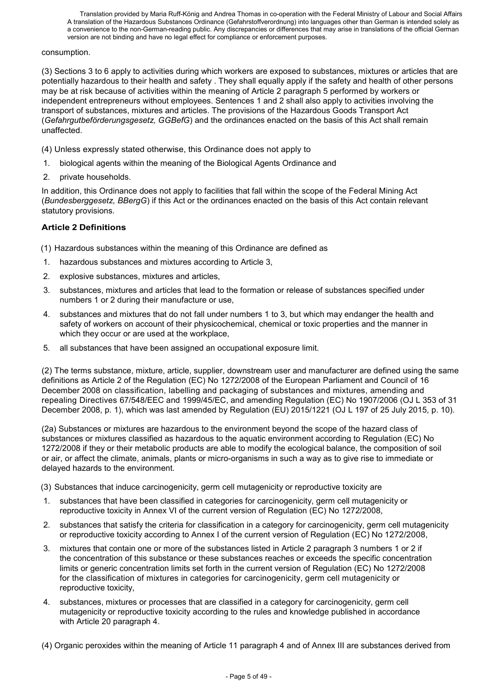#### consumption.

(3) Sections 3 to 6 apply to activities during which workers are exposed to substances, mixtures or articles that are potentially hazardous to their health and safety . They shall equally apply if the safety and health of other persons may be at risk because of activities within the meaning of Article 2 paragraph 5 performed by workers or independent entrepreneurs without employees. Sentences 1 and 2 shall also apply to activities involving the transport of substances, mixtures and articles. The provisions of the Hazardous Goods Transport Act (*Gefahrgutbeförderungsgesetz, GGBefG*) and the ordinances enacted on the basis of this Act shall remain unaffected.

(4) Unless expressly stated otherwise, this Ordinance does not apply to

- 1. biological agents within the meaning of the Biological Agents Ordinance and
- 2. private households.

In addition, this Ordinance does not apply to facilities that fall within the scope of the Federal Mining Act (*Bundesberggesetz, BBergG*) if this Act or the ordinances enacted on the basis of this Act contain relevant statutory provisions.

# **Article 2 Definitions**

(1) Hazardous substances within the meaning of this Ordinance are defined as

- 1. hazardous substances and mixtures according to Article 3,
- 2. explosive substances, mixtures and articles,
- 3. substances, mixtures and articles that lead to the formation or release of substances specified under numbers 1 or 2 during their manufacture or use,
- 4. substances and mixtures that do not fall under numbers 1 to 3, but which may endanger the health and safety of workers on account of their physicochemical, chemical or toxic properties and the manner in which they occur or are used at the workplace.
- 5. all substances that have been assigned an occupational exposure limit.

(2) The terms substance, mixture, article, supplier, downstream user and manufacturer are defined using the same definitions as Article 2 of the Regulation (EC) No 1272/2008 of the European Parliament and Council of 16 December 2008 on classification, labelling and packaging of substances and mixtures, amending and repealing Directives 67/548/EEC and 1999/45/EC, and amending Regulation (EC) No 1907/2006 (OJ L 353 of 31 December 2008, p. 1), which was last amended by Regulation (EU) 2015/1221 (OJ L 197 of 25 July 2015, p. 10).

(2a) Substances or mixtures are hazardous to the environment beyond the scope of the hazard class of substances or mixtures classified as hazardous to the aquatic environment according to Regulation (EC) No 1272/2008 if they or their metabolic products are able to modify the ecological balance, the composition of soil or air, or affect the climate, animals, plants or micro-organisms in such a way as to give rise to immediate or delayed hazards to the environment.

(3) Substances that induce carcinogenicity, germ cell mutagenicity or reproductive toxicity are

- 1. substances that have been classified in categories for carcinogenicity, germ cell mutagenicity or reproductive toxicity in Annex VI of the current version of Regulation (EC) No 1272/2008,
- 2. substances that satisfy the criteria for classification in a category for carcinogenicity, germ cell mutagenicity or reproductive toxicity according to Annex I of the current version of Regulation (EC) No 1272/2008,
- 3. mixtures that contain one or more of the substances listed in Article 2 paragraph 3 numbers 1 or 2 if the concentration of this substance or these substances reaches or exceeds the specific concentration limits or generic concentration limits set forth in the current version of Regulation (EC) No 1272/2008 for the classification of mixtures in categories for carcinogenicity, germ cell mutagenicity or reproductive toxicity,
- 4. substances, mixtures or processes that are classified in a category for carcinogenicity, germ cell mutagenicity or reproductive toxicity according to the rules and knowledge published in accordance with Article 20 paragraph 4.
- (4) Organic peroxides within the meaning of Article 11 paragraph 4 and of Annex III are substances derived from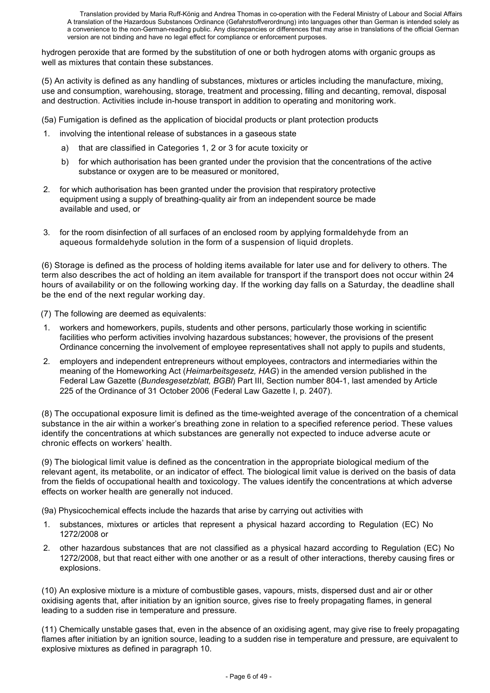hydrogen peroxide that are formed by the substitution of one or both hydrogen atoms with organic groups as well as mixtures that contain these substances.

(5) An activity is defined as any handling of substances, mixtures or articles including the manufacture, mixing, use and consumption, warehousing, storage, treatment and processing, filling and decanting, removal, disposal and destruction. Activities include in-house transport in addition to operating and monitoring work.

(5a) Fumigation is defined as the application of biocidal products or plant protection products

- 1. involving the intentional release of substances in a gaseous state
	- a) that are classified in Categories 1, 2 or 3 for acute toxicity or
	- b) for which authorisation has been granted under the provision that the concentrations of the active substance or oxygen are to be measured or monitored.
- 2. for which authorisation has been granted under the provision that respiratory protective equipment using a supply of breathing-quality air from an independent source be made available and used, or
- 3. for the room disinfection of all surfaces of an enclosed room by applying formaldehyde from an aqueous formaldehyde solution in the form of a suspension of liquid droplets.

(6) Storage is defined as the process of holding items available for later use and for delivery to others. The term also describes the act of holding an item available for transport if the transport does not occur within 24 hours of availability or on the following working day. If the working day falls on a Saturday, the deadline shall be the end of the next regular working day.

(7) The following are deemed as equivalents:

- workers and homeworkers, pupils, students and other persons, particularly those working in scientific facilities who perform activities involving hazardous substances; however, the provisions of the present Ordinance concerning the involvement of employee representatives shall not apply to pupils and students,
- 2. employers and independent entrepreneurs without employees, contractors and intermediaries within the meaning of the Homeworking Act (*Heimarbeitsgesetz, HAG*) in the amended version published in the Federal Law Gazette (*Bundesgesetzblatt, BGBl*) Part III, Section number 804-1, last amended by Article 225 of the Ordinance of 31 October 2006 (Federal Law Gazette I, p. 2407).

(8) The occupational exposure limit is defined as the time-weighted average of the concentration of a chemical substance in the air within a worker's breathing zone in relation to a specified reference period. These values identify the concentrations at which substances are generally not expected to induce adverse acute or chronic effects on workers' health.

(9) The biological limit value is defined as the concentration in the appropriate biological medium of the relevant agent, its metabolite, or an indicator of effect. The biological limit value is derived on the basis of data from the fields of occupational health and toxicology. The values identify the concentrations at which adverse effects on worker health are generally not induced.

(9a) Physicochemical effects include the hazards that arise by carrying out activities with

- 1. substances, mixtures or articles that represent a physical hazard according to Regulation (EC) No 1272/2008 or
- 2. other hazardous substances that are not classified as a physical hazard according to Regulation (EC) No 1272/2008, but that react either with one another or as a result of other interactions, thereby causing fires or explosions.

(10) An explosive mixture is a mixture of combustible gases, vapours, mists, dispersed dust and air or other oxidising agents that, after initiation by an ignition source, gives rise to freely propagating flames, in general leading to a sudden rise in temperature and pressure.

(11) Chemically unstable gases that, even in the absence of an oxidising agent, may give rise to freely propagating flames after initiation by an ignition source, leading to a sudden rise in temperature and pressure, are equivalent to explosive mixtures as defined in paragraph 10.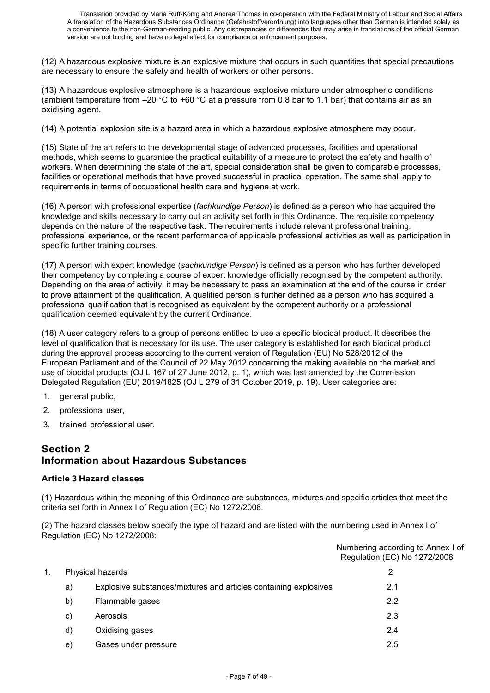(12) A hazardous explosive mixture is an explosive mixture that occurs in such quantities that special precautions are necessary to ensure the safety and health of workers or other persons.

(13) A hazardous explosive atmosphere is a hazardous explosive mixture under atmospheric conditions (ambient temperature from  $-20$  °C to +60 °C at a pressure from 0.8 bar to 1.1 bar) that contains air as an oxidising agent.

(14) A potential explosion site is a hazard area in which a hazardous explosive atmosphere may occur.

(15) State of the art refers to the developmental stage of advanced processes, facilities and operational methods, which seems to guarantee the practical suitability of a measure to protect the safety and health of workers. When determining the state of the art, special consideration shall be given to comparable processes, facilities or operational methods that have proved successful in practical operation. The same shall apply to requirements in terms of occupational health care and hygiene at work.

(16) A person with professional expertise (*fachkundige Person*) is defined as a person who has acquired the knowledge and skills necessary to carry out an activity set forth in this Ordinance. The requisite competency depends on the nature of the respective task. The requirements include relevant professional training, professional experience, or the recent performance of applicable professional activities as well as participation in specific further training courses.

(17) A person with expert knowledge (*sachkundige Person*) is defined as a person who has further developed their competency by completing a course of expert knowledge officially recognised by the competent authority. Depending on the area of activity, it may be necessary to pass an examination at the end of the course in order to prove attainment of the qualification. A qualified person is further defined as a person who has acquired a professional qualification that is recognised as equivalent by the competent authority or a professional qualification deemed equivalent by the current Ordinance.

(18) A user category refers to a group of persons entitled to use a specific biocidal product. It describes the level of qualification that is necessary for its use. The user category is established for each biocidal product during the approval process according to the current version of Regulation (EU) No 528/2012 of the European Parliament and of the Council of 22 May 2012 concerning the making available on the market and use of biocidal products (OJ L 167 of 27 June 2012, p. 1), which was last amended by the Commission Delegated Regulation (EU) 2019/1825 (OJ L 279 of 31 October 2019, p. 19). User categories are:

- 1. general public,
- 2. professional user,
- 3. trained professional user.

# **Section 2 Information about Hazardous Substances**

#### **Article 3 Hazard classes**

(1) Hazardous within the meaning of this Ordinance are substances, mixtures and specific articles that meet the criteria set forth in Annex I of Regulation (EC) No 1272/2008.

(2) The hazard classes below specify the type of hazard and are listed with the numbering used in Annex I of Regulation (EC) No 1272/2008:

|    |                                                                  | Numbering according to Annex I of<br>Regulation (EC) No 1272/2008 |
|----|------------------------------------------------------------------|-------------------------------------------------------------------|
|    | Physical hazards                                                 | 2                                                                 |
| a) | Explosive substances/mixtures and articles containing explosives | 2.1                                                               |
| b) | Flammable gases                                                  | 2.2                                                               |
| C) | Aerosols                                                         | 2.3                                                               |
| d) | Oxidising gases                                                  | 2.4                                                               |
| e) | Gases under pressure                                             | 2.5                                                               |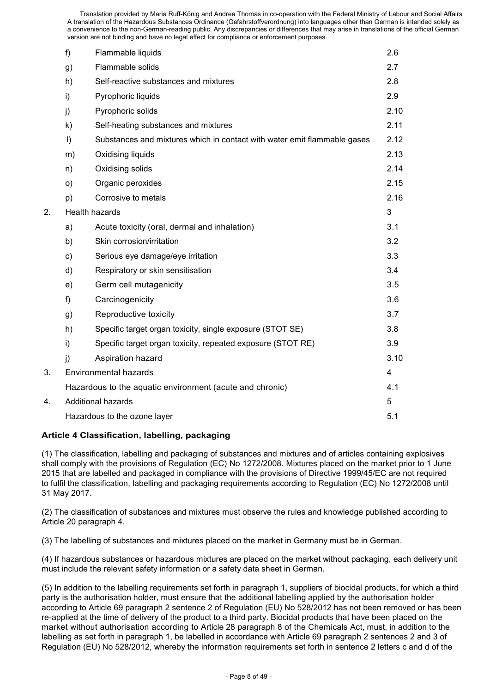|                             | f)            | Flammable liquids                                                        | 2.6            |
|-----------------------------|---------------|--------------------------------------------------------------------------|----------------|
|                             | g)            | Flammable solids                                                         | 2.7            |
|                             | h)            | Self-reactive substances and mixtures                                    | 2.8            |
|                             | i)            | Pyrophoric liquids                                                       | 2.9            |
|                             | j)            | Pyrophoric solids                                                        | 2.10           |
|                             | k)            | Self-heating substances and mixtures                                     | 2.11           |
|                             | I)            | Substances and mixtures which in contact with water emit flammable gases | 2.12           |
|                             | m)            | Oxidising liquids                                                        | 2.13           |
|                             | n)            | Oxidising solids                                                         | 2.14           |
|                             | o)            | Organic peroxides                                                        | 2.15           |
|                             | p)            | Corrosive to metals                                                      | 2.16           |
| <b>Health hazards</b><br>2. |               |                                                                          | 3              |
|                             | a)            | Acute toxicity (oral, dermal and inhalation)                             | 3.1            |
|                             | b)            | Skin corrosion/irritation                                                | 3.2            |
|                             | $\mathbf{c})$ | Serious eye damage/eye irritation                                        | 3.3            |
|                             | d)            | Respiratory or skin sensitisation                                        | 3.4            |
|                             | e)            | Germ cell mutagenicity                                                   | 3.5            |
|                             | f)            | Carcinogenicity                                                          | 3.6            |
|                             | g)            | Reproductive toxicity                                                    | 3.7            |
|                             | h)            | Specific target organ toxicity, single exposure (STOT SE)                | 3.8            |
|                             | i)            | Specific target organ toxicity, repeated exposure (STOT RE)              | 3.9            |
|                             | j)            | Aspiration hazard                                                        | 3.10           |
| 3.                          |               | <b>Environmental hazards</b>                                             | $\overline{4}$ |
|                             |               | Hazardous to the aquatic environment (acute and chronic)                 | 4.1            |
| 4.                          |               | <b>Additional hazards</b>                                                | 5              |
|                             |               | Hazardous to the ozone layer                                             | 5.1            |
|                             |               |                                                                          |                |

#### **Article 4 Classification, labelling, packaging**

(1) The classification, labelling and packaging of substances and mixtures and of articles containing explosives shall comply with the provisions of Regulation (EC) No 1272/2008. Mixtures placed on the market prior to 1 June 2015 that are labelled and packaged in compliance with the provisions of Directive 1999/45/EC are not required to fulfil the classification, labelling and packaging requirements according to Regulation (EC) No 1272/2008 until 31 May 2017.

(2) The classification of substances and mixtures must observe the rules and knowledge published according to Article 20 paragraph 4.

(3) The labelling of substances and mixtures placed on the market in Germany must be in German.

(4) If hazardous substances or hazardous mixtures are placed on the market without packaging, each delivery unit must include the relevant safety information or a safety data sheet in German.

(5) In addition to the labelling requirements set forth in paragraph 1, suppliers of biocidal products, for which a third party is the authorisation holder, must ensure that the additional labelling applied by the authorisation holder according to Article 69 paragraph 2 sentence 2 of Regulation (EU) No 528/2012 has not been removed or has been re-applied at the time of delivery of the product to a third party. Biocidal products that have been placed on the market without authorisation according to Article 28 paragraph 8 of the Chemicals Act, must, in addition to the labelling as set forth in paragraph 1, be labelled in accordance with Article 69 paragraph 2 sentences 2 and 3 of Regulation (EU) No 528/2012, whereby the information requirements set forth in sentence 2 letters c and d of the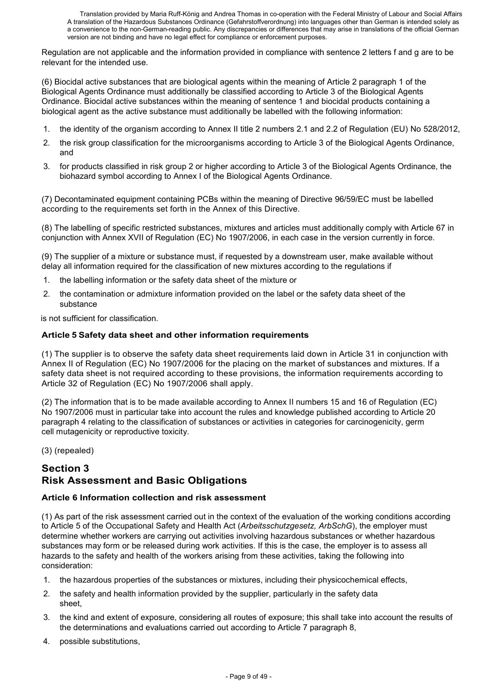Regulation are not applicable and the information provided in compliance with sentence 2 letters f and g are to be relevant for the intended use.

(6) Biocidal active substances that are biological agents within the meaning of Article 2 paragraph 1 of the Biological Agents Ordinance must additionally be classified according to Article 3 of the Biological Agents Ordinance. Biocidal active substances within the meaning of sentence 1 and biocidal products containing a biological agent as the active substance must additionally be labelled with the following information:

- 1. the identity of the organism according to Annex II title 2 numbers 2.1 and 2.2 of Regulation (EU) No 528/2012,
- 2. the risk group classification for the microorganisms according to Article 3 of the Biological Agents Ordinance, and
- 3. for products classified in risk group 2 or higher according to Article 3 of the Biological Agents Ordinance, the biohazard symbol according to Annex I of the Biological Agents Ordinance.

(7) Decontaminated equipment containing PCBs within the meaning of Directive 96/59/EC must be labelled according to the requirements set forth in the Annex of this Directive.

(8) The labelling of specific restricted substances, mixtures and articles must additionally comply with Article 67 in conjunction with Annex XVII of Regulation (EC) No 1907/2006, in each case in the version currently in force.

(9) The supplier of a mixture or substance must, if requested by a downstream user, make available without delay all information required for the classification of new mixtures according to the regulations if

- 1. the labelling information or the safety data sheet of the mixture or
- 2. the contamination or admixture information provided on the label or the safety data sheet of the substance

is not sufficient for classification.

# **Article 5 Safety data sheet and other information requirements**

(1) The supplier is to observe the safety data sheet requirements laid down in Article 31 in conjunction with Annex II of Regulation (EC) No 1907/2006 for the placing on the market of substances and mixtures. If a safety data sheet is not required according to these provisions, the information requirements according to Article 32 of Regulation (EC) No 1907/2006 shall apply.

(2) The information that is to be made available according to Annex II numbers 15 and 16 of Regulation (EC) No 1907/2006 must in particular take into account the rules and knowledge published according to Article 20 paragraph 4 relating to the classification of substances or activities in categories for carcinogenicity, germ cell mutagenicity or reproductive toxicity.

(3) (repealed)

# **Section 3 Risk Assessment and Basic Obligations**

# **Article 6 Information collection and risk assessment**

(1) As part of the risk assessment carried out in the context of the evaluation of the working conditions according to Article 5 of the Occupational Safety and Health Act (*Arbeitsschutzgesetz, ArbSchG*), the employer must determine whether workers are carrying out activities involving hazardous substances or whether hazardous substances may form or be released during work activities. If this is the case, the employer is to assess all hazards to the safety and health of the workers arising from these activities, taking the following into consideration:

- 1. the hazardous properties of the substances or mixtures, including their physicochemical effects,
- 2. the safety and health information provided by the supplier, particularly in the safety data sheet,
- 3. the kind and extent of exposure, considering all routes of exposure; this shall take into account the results of the determinations and evaluations carried out according to Article 7 paragraph 8,
- 4. possible substitutions,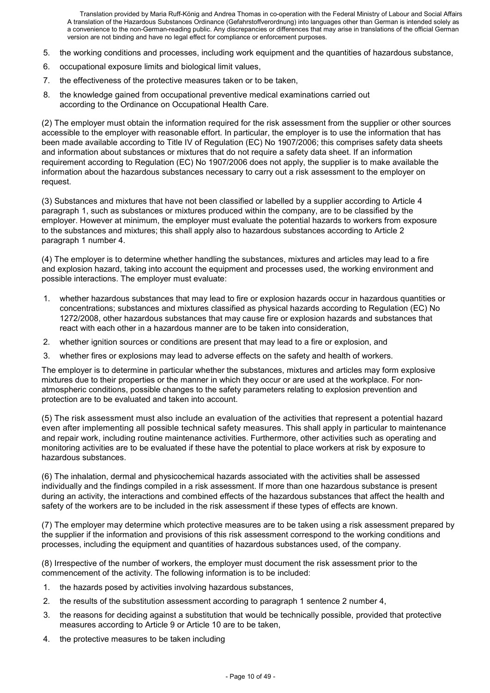- 5. the working conditions and processes, including work equipment and the quantities of hazardous substance,
- 6. occupational exposure limits and biological limit values,
- 7. the effectiveness of the protective measures taken or to be taken,
- 8. the knowledge gained from occupational preventive medical examinations carried out according to the Ordinance on Occupational Health Care.

(2) The employer must obtain the information required for the risk assessment from the supplier or other sources accessible to the employer with reasonable effort. In particular, the employer is to use the information that has been made available according to Title IV of Regulation (EC) No 1907/2006; this comprises safety data sheets and information about substances or mixtures that do not require a safety data sheet. If an information requirement according to Regulation (EC) No 1907/2006 does not apply, the supplier is to make available the information about the hazardous substances necessary to carry out a risk assessment to the employer on request.

(3) Substances and mixtures that have not been classified or labelled by a supplier according to Article 4 paragraph 1, such as substances or mixtures produced within the company, are to be classified by the employer. However at minimum, the employer must evaluate the potential hazards to workers from exposure to the substances and mixtures; this shall apply also to hazardous substances according to Article 2 paragraph 1 number 4.

(4) The employer is to determine whether handling the substances, mixtures and articles may lead to a fire and explosion hazard, taking into account the equipment and processes used, the working environment and possible interactions. The employer must evaluate:

- 1. whether hazardous substances that may lead to fire or explosion hazards occur in hazardous quantities or concentrations; substances and mixtures classified as physical hazards according to Regulation (EC) No 1272/2008, other hazardous substances that may cause fire or explosion hazards and substances that react with each other in a hazardous manner are to be taken into consideration,
- 2. whether ignition sources or conditions are present that may lead to a fire or explosion, and
- 3. whether fires or explosions may lead to adverse effects on the safety and health of workers.

The employer is to determine in particular whether the substances, mixtures and articles may form explosive mixtures due to their properties or the manner in which they occur or are used at the workplace. For nonatmospheric conditions, possible changes to the safety parameters relating to explosion prevention and protection are to be evaluated and taken into account.

(5) The risk assessment must also include an evaluation of the activities that represent a potential hazard even after implementing all possible technical safety measures. This shall apply in particular to maintenance and repair work, including routine maintenance activities. Furthermore, other activities such as operating and monitoring activities are to be evaluated if these have the potential to place workers at risk by exposure to hazardous substances.

(6) The inhalation, dermal and physicochemical hazards associated with the activities shall be assessed individually and the findings compiled in a risk assessment. If more than one hazardous substance is present during an activity, the interactions and combined effects of the hazardous substances that affect the health and safety of the workers are to be included in the risk assessment if these types of effects are known.

(7) The employer may determine which protective measures are to be taken using a risk assessment prepared by the supplier if the information and provisions of this risk assessment correspond to the working conditions and processes, including the equipment and quantities of hazardous substances used, of the company.

(8) Irrespective of the number of workers, the employer must document the risk assessment prior to the commencement of the activity. The following information is to be included:

- 1. the hazards posed by activities involving hazardous substances,
- 2. the results of the substitution assessment according to paragraph 1 sentence 2 number 4,
- 3. the reasons for deciding against a substitution that would be technically possible, provided that protective measures according to Article 9 or Article 10 are to be taken,
- 4. the protective measures to be taken including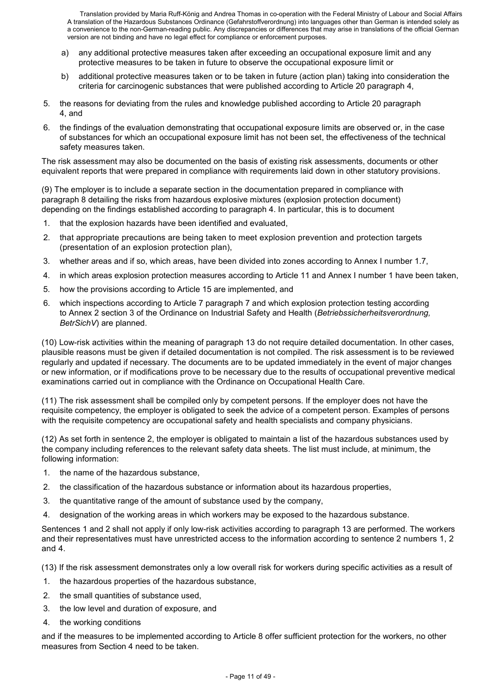- a) any additional protective measures taken after exceeding an occupational exposure limit and any protective measures to be taken in future to observe the occupational exposure limit or
- b) additional protective measures taken or to be taken in future (action plan) taking into consideration the criteria for carcinogenic substances that were published according to Article 20 paragraph 4,
- 5. the reasons for deviating from the rules and knowledge published according to Article 20 paragraph 4, and
- 6. the findings of the evaluation demonstrating that occupational exposure limits are observed or, in the case of substances for which an occupational exposure limit has not been set, the effectiveness of the technical safety measures taken.

The risk assessment may also be documented on the basis of existing risk assessments, documents or other equivalent reports that were prepared in compliance with requirements laid down in other statutory provisions.

(9) The employer is to include a separate section in the documentation prepared in compliance with paragraph 8 detailing the risks from hazardous explosive mixtures (explosion protection document) depending on the findings established according to paragraph 4. In particular, this is to document

- 1. that the explosion hazards have been identified and evaluated,
- 2. that appropriate precautions are being taken to meet explosion prevention and protection targets (presentation of an explosion protection plan),
- 3. whether areas and if so, which areas, have been divided into zones according to Annex I number 1.7,
- 4. in which areas explosion protection measures according to Article 11 and Annex I number 1 have been taken,
- 5. how the provisions according to Article 15 are implemented, and
- 6. which inspections according to Article 7 paragraph 7 and which explosion protection testing according to Annex 2 section 3 of the Ordinance on Industrial Safety and Health (*Betriebssicherheitsverordnung, BetrSichV*) are planned.

(10) Low-risk activities within the meaning of paragraph 13 do not require detailed documentation. In other cases, plausible reasons must be given if detailed documentation is not compiled. The risk assessment is to be reviewed regularly and updated if necessary. The documents are to be updated immediately in the event of major changes or new information, or if modifications prove to be necessary due to the results of occupational preventive medical examinations carried out in compliance with the Ordinance on Occupational Health Care.

(11) The risk assessment shall be compiled only by competent persons. If the employer does not have the requisite competency, the employer is obligated to seek the advice of a competent person. Examples of persons with the requisite competency are occupational safety and health specialists and company physicians.

(12) As set forth in sentence 2, the employer is obligated to maintain a list of the hazardous substances used by the company including references to the relevant safety data sheets. The list must include, at minimum, the following information:

- 1. the name of the hazardous substance,
- 2. the classification of the hazardous substance or information about its hazardous properties,
- 3. the quantitative range of the amount of substance used by the company,
- 4. designation of the working areas in which workers may be exposed to the hazardous substance.

Sentences 1 and 2 shall not apply if only low-risk activities according to paragraph 13 are performed. The workers and their representatives must have unrestricted access to the information according to sentence 2 numbers 1, 2 and 4.

(13) If the risk assessment demonstrates only a low overall risk for workers during specific activities as a result of

- 1. the hazardous properties of the hazardous substance,
- 2. the small quantities of substance used,
- 3. the low level and duration of exposure, and
- 4. the working conditions

and if the measures to be implemented according to Article 8 offer sufficient protection for the workers, no other measures from Section 4 need to be taken.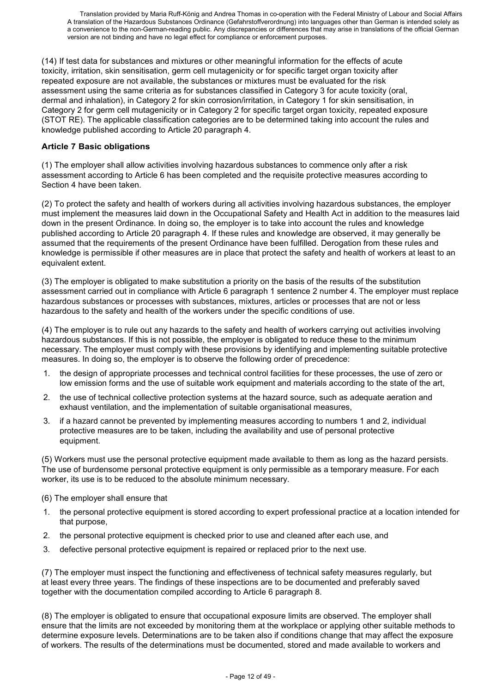(14) If test data for substances and mixtures or other meaningful information for the effects of acute toxicity, irritation, skin sensitisation, germ cell mutagenicity or for specific target organ toxicity after repeated exposure are not available, the substances or mixtures must be evaluated for the risk assessment using the same criteria as for substances classified in Category 3 for acute toxicity (oral, dermal and inhalation), in Category 2 for skin corrosion/irritation, in Category 1 for skin sensitisation, in Category 2 for germ cell mutagenicity or in Category 2 for specific target organ toxicity, repeated exposure (STOT RE). The applicable classification categories are to be determined taking into account the rules and knowledge published according to Article 20 paragraph 4.

### **Article 7 Basic obligations**

(1) The employer shall allow activities involving hazardous substances to commence only after a risk assessment according to Article 6 has been completed and the requisite protective measures according to Section 4 have been taken.

(2) To protect the safety and health of workers during all activities involving hazardous substances, the employer must implement the measures laid down in the Occupational Safety and Health Act in addition to the measures laid down in the present Ordinance. In doing so, the employer is to take into account the rules and knowledge published according to Article 20 paragraph 4. If these rules and knowledge are observed, it may generally be assumed that the requirements of the present Ordinance have been fulfilled. Derogation from these rules and knowledge is permissible if other measures are in place that protect the safety and health of workers at least to an equivalent extent.

(3) The employer is obligated to make substitution a priority on the basis of the results of the substitution assessment carried out in compliance with Article 6 paragraph 1 sentence 2 number 4. The employer must replace hazardous substances or processes with substances, mixtures, articles or processes that are not or less hazardous to the safety and health of the workers under the specific conditions of use.

(4) The employer is to rule out any hazards to the safety and health of workers carrying out activities involving hazardous substances. If this is not possible, the employer is obligated to reduce these to the minimum necessary. The employer must comply with these provisions by identifying and implementing suitable protective measures. In doing so, the employer is to observe the following order of precedence:

- 1. the design of appropriate processes and technical control facilities for these processes, the use of zero or low emission forms and the use of suitable work equipment and materials according to the state of the art,
- 2. the use of technical collective protection systems at the hazard source, such as adequate aeration and exhaust ventilation, and the implementation of suitable organisational measures,
- 3. if a hazard cannot be prevented by implementing measures according to numbers 1 and 2, individual protective measures are to be taken, including the availability and use of personal protective equipment.

(5) Workers must use the personal protective equipment made available to them as long as the hazard persists. The use of burdensome personal protective equipment is only permissible as a temporary measure. For each worker, its use is to be reduced to the absolute minimum necessary.

(6) The employer shall ensure that

- 1. the personal protective equipment is stored according to expert professional practice at a location intended for that purpose,
- 2. the personal protective equipment is checked prior to use and cleaned after each use, and
- 3. defective personal protective equipment is repaired or replaced prior to the next use.

(7) The employer must inspect the functioning and effectiveness of technical safety measures regularly, but at least every three years. The findings of these inspections are to be documented and preferably saved together with the documentation compiled according to Article 6 paragraph 8.

(8) The employer is obligated to ensure that occupational exposure limits are observed. The employer shall ensure that the limits are not exceeded by monitoring them at the workplace or applying other suitable methods to determine exposure levels. Determinations are to be taken also if conditions change that may affect the exposure of workers. The results of the determinations must be documented, stored and made available to workers and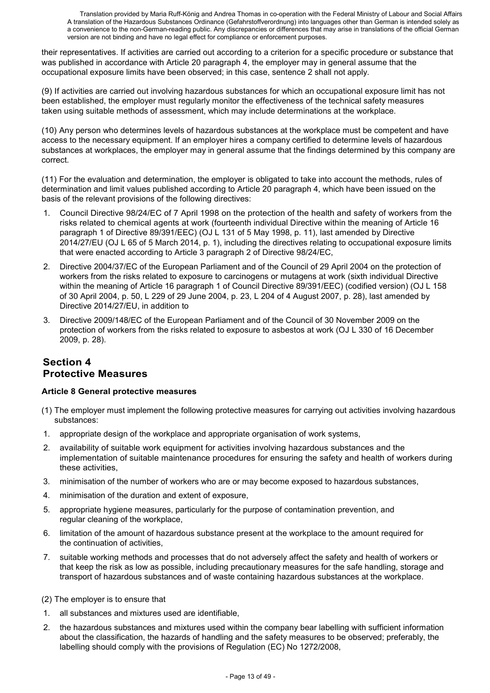their representatives. If activities are carried out according to a criterion for a specific procedure or substance that was published in accordance with Article 20 paragraph 4, the employer may in general assume that the occupational exposure limits have been observed; in this case, sentence 2 shall not apply.

(9) If activities are carried out involving hazardous substances for which an occupational exposure limit has not been established, the employer must regularly monitor the effectiveness of the technical safety measures taken using suitable methods of assessment, which may include determinations at the workplace.

(10) Any person who determines levels of hazardous substances at the workplace must be competent and have access to the necessary equipment. If an employer hires a company certified to determine levels of hazardous substances at workplaces, the employer may in general assume that the findings determined by this company are correct.

(11) For the evaluation and determination, the employer is obligated to take into account the methods, rules of determination and limit values published according to Article 20 paragraph 4, which have been issued on the basis of the relevant provisions of the following directives:

- 1. Council Directive 98/24/EC of 7 April 1998 on the protection of the health and safety of workers from the risks related to chemical agents at work (fourteenth individual Directive within the meaning of Article 16 paragraph 1 of Directive 89/391/EEC) (OJ L 131 of 5 May 1998, p. 11), last amended by Directive 2014/27/EU (OJ L 65 of 5 March 2014, p. 1), including the directives relating to occupational exposure limits that were enacted according to Article 3 paragraph 2 of Directive 98/24/EC,
- 2. Directive 2004/37/EC of the European Parliament and of the Council of 29 April 2004 on the protection of workers from the risks related to exposure to carcinogens or mutagens at work (sixth individual Directive within the meaning of Article 16 paragraph 1 of Council Directive 89/391/EEC) (codified version) (OJ L 158 of 30 April 2004, p. 50, L 229 of 29 June 2004, p. 23, L 204 of 4 August 2007, p. 28), last amended by Directive 2014/27/EU, in addition to
- 3. Directive 2009/148/EC of the European Parliament and of the Council of 30 November 2009 on the protection of workers from the risks related to exposure to asbestos at work (OJ L 330 of 16 December 2009, p. 28).

# **Section 4 Protective Measures**

#### **Article 8 General protective measures**

- (1) The employer must implement the following protective measures for carrying out activities involving hazardous substances:
- 1. appropriate design of the workplace and appropriate organisation of work systems,
- 2. availability of suitable work equipment for activities involving hazardous substances and the implementation of suitable maintenance procedures for ensuring the safety and health of workers during these activities,
- 3. minimisation of the number of workers who are or may become exposed to hazardous substances,
- 4. minimisation of the duration and extent of exposure,
- 5. appropriate hygiene measures, particularly for the purpose of contamination prevention, and regular cleaning of the workplace,
- 6. limitation of the amount of hazardous substance present at the workplace to the amount required for the continuation of activities,
- 7. suitable working methods and processes that do not adversely affect the safety and health of workers or that keep the risk as low as possible, including precautionary measures for the safe handling, storage and transport of hazardous substances and of waste containing hazardous substances at the workplace.
- (2) The employer is to ensure that
- 1. all substances and mixtures used are identifiable,
- 2. the hazardous substances and mixtures used within the company bear labelling with sufficient information about the classification, the hazards of handling and the safety measures to be observed; preferably, the labelling should comply with the provisions of Regulation (EC) No 1272/2008,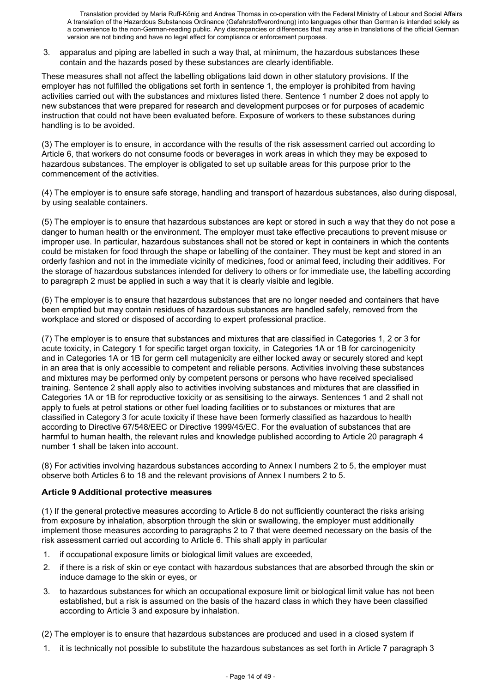3. apparatus and piping are labelled in such a way that, at minimum, the hazardous substances these contain and the hazards posed by these substances are clearly identifiable.

These measures shall not affect the labelling obligations laid down in other statutory provisions. If the employer has not fulfilled the obligations set forth in sentence 1, the employer is prohibited from having activities carried out with the substances and mixtures listed there. Sentence 1 number 2 does not apply to new substances that were prepared for research and development purposes or for purposes of academic instruction that could not have been evaluated before. Exposure of workers to these substances during handling is to be avoided.

(3) The employer is to ensure, in accordance with the results of the risk assessment carried out according to Article 6, that workers do not consume foods or beverages in work areas in which they may be exposed to hazardous substances. The employer is obligated to set up suitable areas for this purpose prior to the commencement of the activities.

(4) The employer is to ensure safe storage, handling and transport of hazardous substances, also during disposal, by using sealable containers.

(5) The employer is to ensure that hazardous substances are kept or stored in such a way that they do not pose a danger to human health or the environment. The employer must take effective precautions to prevent misuse or improper use. In particular, hazardous substances shall not be stored or kept in containers in which the contents could be mistaken for food through the shape or labelling of the container. They must be kept and stored in an orderly fashion and not in the immediate vicinity of medicines, food or animal feed, including their additives. For the storage of hazardous substances intended for delivery to others or for immediate use, the labelling according to paragraph 2 must be applied in such a way that it is clearly visible and legible.

(6) The employer is to ensure that hazardous substances that are no longer needed and containers that have been emptied but may contain residues of hazardous substances are handled safely, removed from the workplace and stored or disposed of according to expert professional practice.

(7) The employer is to ensure that substances and mixtures that are classified in Categories 1, 2 or 3 for acute toxicity, in Category 1 for specific target organ toxicity, in Categories 1A or 1B for carcinogenicity and in Categories 1A or 1B for germ cell mutagenicity are either locked away or securely stored and kept in an area that is only accessible to competent and reliable persons. Activities involving these substances and mixtures may be performed only by competent persons or persons who have received specialised training. Sentence 2 shall apply also to activities involving substances and mixtures that are classified in Categories 1A or 1B for reproductive toxicity or as sensitising to the airways. Sentences 1 and 2 shall not apply to fuels at petrol stations or other fuel loading facilities or to substances or mixtures that are classified in Category 3 for acute toxicity if these have been formerly classified as hazardous to health according to Directive 67/548/EEC or Directive 1999/45/EC. For the evaluation of substances that are harmful to human health, the relevant rules and knowledge published according to Article 20 paragraph 4 number 1 shall be taken into account.

(8) For activities involving hazardous substances according to Annex I numbers 2 to 5, the employer must observe both Articles 6 to 18 and the relevant provisions of Annex I numbers 2 to 5.

#### **Article 9 Additional protective measures**

(1) If the general protective measures according to Article 8 do not sufficiently counteract the risks arising from exposure by inhalation, absorption through the skin or swallowing, the employer must additionally implement those measures according to paragraphs 2 to 7 that were deemed necessary on the basis of the risk assessment carried out according to Article 6. This shall apply in particular

- 1. if occupational exposure limits or biological limit values are exceeded,
- 2. if there is a risk of skin or eye contact with hazardous substances that are absorbed through the skin or induce damage to the skin or eyes, or
- 3. to hazardous substances for which an occupational exposure limit or biological limit value has not been established, but a risk is assumed on the basis of the hazard class in which they have been classified according to Article 3 and exposure by inhalation.

(2) The employer is to ensure that hazardous substances are produced and used in a closed system if

1. it is technically not possible to substitute the hazardous substances as set forth in Article 7 paragraph 3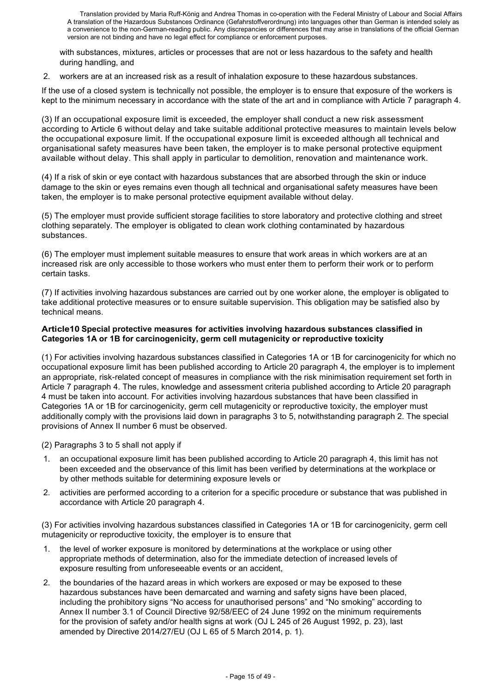with substances, mixtures, articles or processes that are not or less hazardous to the safety and health during handling, and

2. workers are at an increased risk as a result of inhalation exposure to these hazardous substances.

If the use of a closed system is technically not possible, the employer is to ensure that exposure of the workers is kept to the minimum necessary in accordance with the state of the art and in compliance with Article 7 paragraph 4.

(3) If an occupational exposure limit is exceeded, the employer shall conduct a new risk assessment according to Article 6 without delay and take suitable additional protective measures to maintain levels below the occupational exposure limit. If the occupational exposure limit is exceeded although all technical and organisational safety measures have been taken, the employer is to make personal protective equipment available without delay. This shall apply in particular to demolition, renovation and maintenance work.

(4) If a risk of skin or eye contact with hazardous substances that are absorbed through the skin or induce damage to the skin or eyes remains even though all technical and organisational safety measures have been taken, the employer is to make personal protective equipment available without delay.

(5) The employer must provide sufficient storage facilities to store laboratory and protective clothing and street clothing separately. The employer is obligated to clean work clothing contaminated by hazardous substances.

(6) The employer must implement suitable measures to ensure that work areas in which workers are at an increased risk are only accessible to those workers who must enter them to perform their work or to perform certain tasks.

(7) If activities involving hazardous substances are carried out by one worker alone, the employer is obligated to take additional protective measures or to ensure suitable supervision. This obligation may be satisfied also by technical means.

#### **Article10 Special protective measures for activities involving hazardous substances classified in Categories 1A or 1B for carcinogenicity, germ cell mutagenicity or reproductive toxicity**

(1) For activities involving hazardous substances classified in Categories 1A or 1B for carcinogenicity for which no occupational exposure limit has been published according to Article 20 paragraph 4, the employer is to implement an appropriate, risk-related concept of measures in compliance with the risk minimisation requirement set forth in Article 7 paragraph 4. The rules, knowledge and assessment criteria published according to Article 20 paragraph 4 must be taken into account. For activities involving hazardous substances that have been classified in Categories 1A or 1B for carcinogenicity, germ cell mutagenicity or reproductive toxicity, the employer must additionally comply with the provisions laid down in paragraphs 3 to 5, notwithstanding paragraph 2. The special provisions of Annex II number 6 must be observed.

(2) Paragraphs 3 to 5 shall not apply if

- 1. an occupational exposure limit has been published according to Article 20 paragraph 4, this limit has not been exceeded and the observance of this limit has been verified by determinations at the workplace or by other methods suitable for determining exposure levels or
- 2. activities are performed according to a criterion for a specific procedure or substance that was published in accordance with Article 20 paragraph 4.

(3) For activities involving hazardous substances classified in Categories 1A or 1B for carcinogenicity, germ cell mutagenicity or reproductive toxicity, the employer is to ensure that

- 1. the level of worker exposure is monitored by determinations at the workplace or using other appropriate methods of determination, also for the immediate detection of increased levels of exposure resulting from unforeseeable events or an accident,
- 2. the boundaries of the hazard areas in which workers are exposed or may be exposed to these hazardous substances have been demarcated and warning and safety signs have been placed, including the prohibitory signs "No access for unauthorised persons" and "No smoking" according to Annex II number 3.1 of Council Directive 92/58/EEC of 24 June 1992 on the minimum requirements for the provision of safety and/or health signs at work (OJ L 245 of 26 August 1992, p. 23), last amended by Directive 2014/27/EU (OJ L 65 of 5 March 2014, p. 1).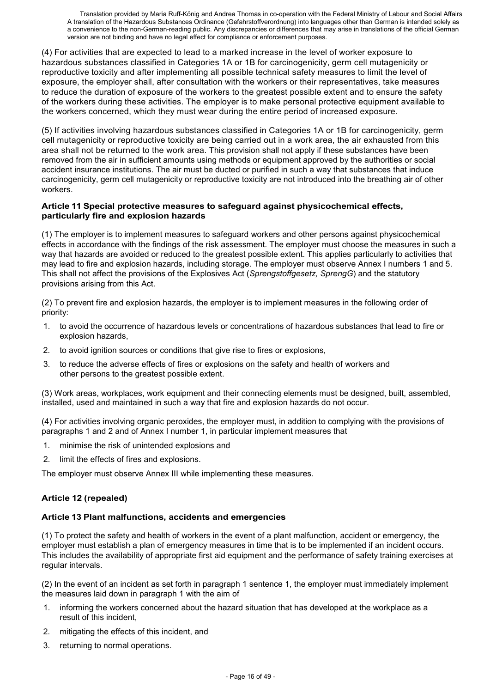(4) For activities that are expected to lead to a marked increase in the level of worker exposure to hazardous substances classified in Categories 1A or 1B for carcinogenicity, germ cell mutagenicity or reproductive toxicity and after implementing all possible technical safety measures to limit the level of exposure, the employer shall, after consultation with the workers or their representatives, take measures to reduce the duration of exposure of the workers to the greatest possible extent and to ensure the safety of the workers during these activities. The employer is to make personal protective equipment available to the workers concerned, which they must wear during the entire period of increased exposure.

(5) If activities involving hazardous substances classified in Categories 1A or 1B for carcinogenicity, germ cell mutagenicity or reproductive toxicity are being carried out in a work area, the air exhausted from this area shall not be returned to the work area. This provision shall not apply if these substances have been removed from the air in sufficient amounts using methods or equipment approved by the authorities or social accident insurance institutions. The air must be ducted or purified in such a way that substances that induce carcinogenicity, germ cell mutagenicity or reproductive toxicity are not introduced into the breathing air of other workers.

#### **Article 11 Special protective measures to safeguard against physicochemical effects, particularly fire and explosion hazards**

(1) The employer is to implement measures to safeguard workers and other persons against physicochemical effects in accordance with the findings of the risk assessment. The employer must choose the measures in such a way that hazards are avoided or reduced to the greatest possible extent. This applies particularly to activities that may lead to fire and explosion hazards, including storage. The employer must observe Annex I numbers 1 and 5. This shall not affect the provisions of the Explosives Act (*Sprengstoffgesetz, SprengG*) and the statutory provisions arising from this Act.

(2) To prevent fire and explosion hazards, the employer is to implement measures in the following order of priority:

- 1. to avoid the occurrence of hazardous levels or concentrations of hazardous substances that lead to fire or explosion hazards,
- 2. to avoid ignition sources or conditions that give rise to fires or explosions,
- 3. to reduce the adverse effects of fires or explosions on the safety and health of workers and other persons to the greatest possible extent.

(3) Work areas, workplaces, work equipment and their connecting elements must be designed, built, assembled, installed, used and maintained in such a way that fire and explosion hazards do not occur.

(4) For activities involving organic peroxides, the employer must, in addition to complying with the provisions of paragraphs 1 and 2 and of Annex I number 1, in particular implement measures that

- 1. minimise the risk of unintended explosions and
- 2. limit the effects of fires and explosions.

The employer must observe Annex III while implementing these measures.

#### **Article 12 (repealed)**

#### **Article 13 Plant malfunctions, accidents and emergencies**

(1) To protect the safety and health of workers in the event of a plant malfunction, accident or emergency, the employer must establish a plan of emergency measures in time that is to be implemented if an incident occurs. This includes the availability of appropriate first aid equipment and the performance of safety training exercises at regular intervals.

(2) In the event of an incident as set forth in paragraph 1 sentence 1, the employer must immediately implement the measures laid down in paragraph 1 with the aim of

- 1. informing the workers concerned about the hazard situation that has developed at the workplace as a result of this incident,
- 2. mitigating the effects of this incident, and
- 3. returning to normal operations.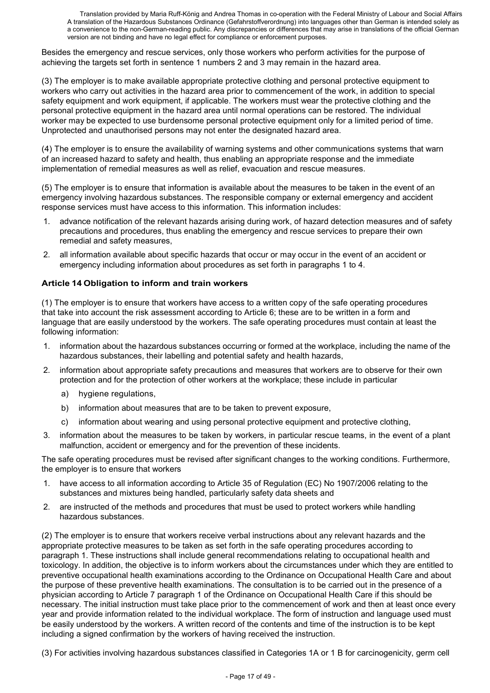Besides the emergency and rescue services, only those workers who perform activities for the purpose of achieving the targets set forth in sentence 1 numbers 2 and 3 may remain in the hazard area.

(3) The employer is to make available appropriate protective clothing and personal protective equipment to workers who carry out activities in the hazard area prior to commencement of the work, in addition to special safety equipment and work equipment, if applicable. The workers must wear the protective clothing and the personal protective equipment in the hazard area until normal operations can be restored. The individual worker may be expected to use burdensome personal protective equipment only for a limited period of time. Unprotected and unauthorised persons may not enter the designated hazard area.

(4) The employer is to ensure the availability of warning systems and other communications systems that warn of an increased hazard to safety and health, thus enabling an appropriate response and the immediate implementation of remedial measures as well as relief, evacuation and rescue measures.

(5) The employer is to ensure that information is available about the measures to be taken in the event of an emergency involving hazardous substances. The responsible company or external emergency and accident response services must have access to this information. This information includes:

- 1. advance notification of the relevant hazards arising during work, of hazard detection measures and of safety precautions and procedures, thus enabling the emergency and rescue services to prepare their own remedial and safety measures,
- 2. all information available about specific hazards that occur or may occur in the event of an accident or emergency including information about procedures as set forth in paragraphs 1 to 4.

# **Article 14 Obligation to inform and train workers**

(1) The employer is to ensure that workers have access to a written copy of the safe operating procedures that take into account the risk assessment according to Article 6; these are to be written in a form and language that are easily understood by the workers. The safe operating procedures must contain at least the following information:

- 1. information about the hazardous substances occurring or formed at the workplace, including the name of the hazardous substances, their labelling and potential safety and health hazards,
- 2. information about appropriate safety precautions and measures that workers are to observe for their own protection and for the protection of other workers at the workplace; these include in particular
	- a) hygiene regulations,
	- b) information about measures that are to be taken to prevent exposure,
	- c) information about wearing and using personal protective equipment and protective clothing,
- 3. information about the measures to be taken by workers, in particular rescue teams, in the event of a plant malfunction, accident or emergency and for the prevention of these incidents.

The safe operating procedures must be revised after significant changes to the working conditions. Furthermore, the employer is to ensure that workers

- 1. have access to all information according to Article 35 of Regulation (EC) No 1907/2006 relating to the substances and mixtures being handled, particularly safety data sheets and
- 2. are instructed of the methods and procedures that must be used to protect workers while handling hazardous substances.

(2) The employer is to ensure that workers receive verbal instructions about any relevant hazards and the appropriate protective measures to be taken as set forth in the safe operating procedures according to paragraph 1. These instructions shall include general recommendations relating to occupational health and toxicology. In addition, the objective is to inform workers about the circumstances under which they are entitled to preventive occupational health examinations according to the Ordinance on Occupational Health Care and about the purpose of these preventive health examinations. The consultation is to be carried out in the presence of a physician according to Article 7 paragraph 1 of the Ordinance on Occupational Health Care if this should be necessary. The initial instruction must take place prior to the commencement of work and then at least once every year and provide information related to the individual workplace. The form of instruction and language used must be easily understood by the workers. A written record of the contents and time of the instruction is to be kept including a signed confirmation by the workers of having received the instruction.

(3) For activities involving hazardous substances classified in Categories 1A or 1 B for carcinogenicity, germ cell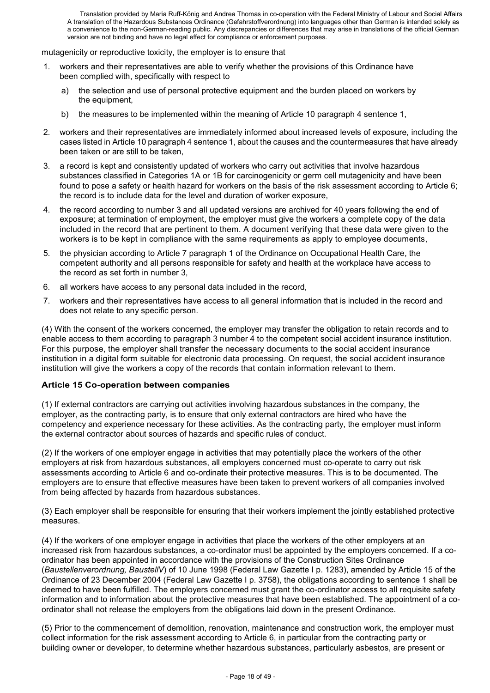mutagenicity or reproductive toxicity, the employer is to ensure that

- workers and their representatives are able to verify whether the provisions of this Ordinance have been complied with, specifically with respect to
	- a) the selection and use of personal protective equipment and the burden placed on workers by the equipment,
	- b) the measures to be implemented within the meaning of Article 10 paragraph 4 sentence 1,
- 2. workers and their representatives are immediately informed about increased levels of exposure, including the cases listed in Article 10 paragraph 4 sentence 1, about the causes and the countermeasures that have already been taken or are still to be taken,
- 3. a record is kept and consistently updated of workers who carry out activities that involve hazardous substances classified in Categories 1A or 1B for carcinogenicity or germ cell mutagenicity and have been found to pose a safety or health hazard for workers on the basis of the risk assessment according to Article 6; the record is to include data for the level and duration of worker exposure,
- 4. the record according to number 3 and all updated versions are archived for 40 years following the end of exposure; at termination of employment, the employer must give the workers a complete copy of the data included in the record that are pertinent to them. A document verifying that these data were given to the workers is to be kept in compliance with the same requirements as apply to employee documents,
- 5. the physician according to Article 7 paragraph 1 of the Ordinance on Occupational Health Care, the competent authority and all persons responsible for safety and health at the workplace have access to the record as set forth in number 3,
- 6. all workers have access to any personal data included in the record,
- 7. workers and their representatives have access to all general information that is included in the record and does not relate to any specific person.

(4) With the consent of the workers concerned, the employer may transfer the obligation to retain records and to enable access to them according to paragraph 3 number 4 to the competent social accident insurance institution. For this purpose, the employer shall transfer the necessary documents to the social accident insurance institution in a digital form suitable for electronic data processing. On request, the social accident insurance institution will give the workers a copy of the records that contain information relevant to them.

# **Article 15 Co-operation between companies**

(1) If external contractors are carrying out activities involving hazardous substances in the company, the employer, as the contracting party, is to ensure that only external contractors are hired who have the competency and experience necessary for these activities. As the contracting party, the employer must inform the external contractor about sources of hazards and specific rules of conduct.

(2) If the workers of one employer engage in activities that may potentially place the workers of the other employers at risk from hazardous substances, all employers concerned must co-operate to carry out risk assessments according to Article 6 and co-ordinate their protective measures. This is to be documented. The employers are to ensure that effective measures have been taken to prevent workers of all companies involved from being affected by hazards from hazardous substances.

(3) Each employer shall be responsible for ensuring that their workers implement the jointly established protective measures.

(4) If the workers of one employer engage in activities that place the workers of the other employers at an increased risk from hazardous substances, a co-ordinator must be appointed by the employers concerned. If a coordinator has been appointed in accordance with the provisions of the Construction Sites Ordinance (*Baustellenverordnung, BaustellV*) of 10 June 1998 (Federal Law Gazette I p. 1283), amended by Article 15 of the Ordinance of 23 December 2004 (Federal Law Gazette I p. 3758), the obligations according to sentence 1 shall be deemed to have been fulfilled. The employers concerned must grant the co-ordinator access to all requisite safety information and to information about the protective measures that have been established. The appointment of a coordinator shall not release the employers from the obligations laid down in the present Ordinance.

(5) Prior to the commencement of demolition, renovation, maintenance and construction work, the employer must collect information for the risk assessment according to Article 6, in particular from the contracting party or building owner or developer, to determine whether hazardous substances, particularly asbestos, are present or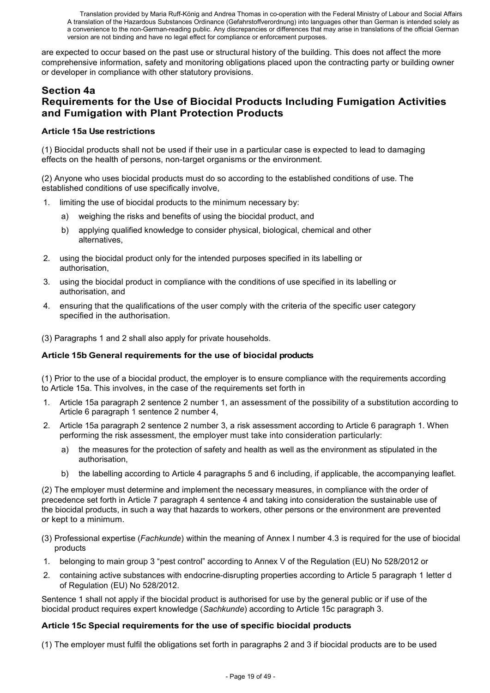are expected to occur based on the past use or structural history of the building. This does not affect the more comprehensive information, safety and monitoring obligations placed upon the contracting party or building owner or developer in compliance with other statutory provisions.

# **Section 4a Requirements for the Use of Biocidal Products Including Fumigation Activities and Fumigation with Plant Protection Products**

### **Article 15a Use restrictions**

(1) Biocidal products shall not be used if their use in a particular case is expected to lead to damaging effects on the health of persons, non-target organisms or the environment.

(2) Anyone who uses biocidal products must do so according to the established conditions of use. The established conditions of use specifically involve,

- 1. limiting the use of biocidal products to the minimum necessary by:
	- a) weighing the risks and benefits of using the biocidal product, and
	- b) applying qualified knowledge to consider physical, biological, chemical and other alternatives,
- 2. using the biocidal product only for the intended purposes specified in its labelling or authorisation,
- 3. using the biocidal product in compliance with the conditions of use specified in its labelling or authorisation, and
- 4. ensuring that the qualifications of the user comply with the criteria of the specific user category specified in the authorisation.

(3) Paragraphs 1 and 2 shall also apply for private households.

# **Article 15b General requirements for the use of biocidal products**

(1) Prior to the use of a biocidal product, the employer is to ensure compliance with the requirements according to Article 15a. This involves, in the case of the requirements set forth in

- 1. Article 15a paragraph 2 sentence 2 number 1, an assessment of the possibility of a substitution according to Article 6 paragraph 1 sentence 2 number 4,
- 2. Article 15a paragraph 2 sentence 2 number 3, a risk assessment according to Article 6 paragraph 1. When performing the risk assessment, the employer must take into consideration particularly:
	- a) the measures for the protection of safety and health as well as the environment as stipulated in the authorisation,
	- b) the labelling according to Article 4 paragraphs 5 and 6 including, if applicable, the accompanying leaflet.

(2) The employer must determine and implement the necessary measures, in compliance with the order of precedence set forth in Article 7 paragraph 4 sentence 4 and taking into consideration the sustainable use of the biocidal products, in such a way that hazards to workers, other persons or the environment are prevented or kept to a minimum.

- (3) Professional expertise (*Fachkunde*) within the meaning of Annex I number 4.3 is required for the use of biocidal products
- 1. belonging to main group 3 "pest control" according to Annex V of the Regulation (EU) No 528/2012 or
- 2. containing active substances with endocrine-disrupting properties according to Article 5 paragraph 1 letter d of Regulation (EU) No 528/2012.

Sentence 1 shall not apply if the biocidal product is authorised for use by the general public or if use of the biocidal product requires expert knowledge (*Sachkunde*) according to Article 15c paragraph 3.

# **Article 15c Special requirements for the use of specific biocidal products**

(1) The employer must fulfil the obligations set forth in paragraphs 2 and 3 if biocidal products are to be used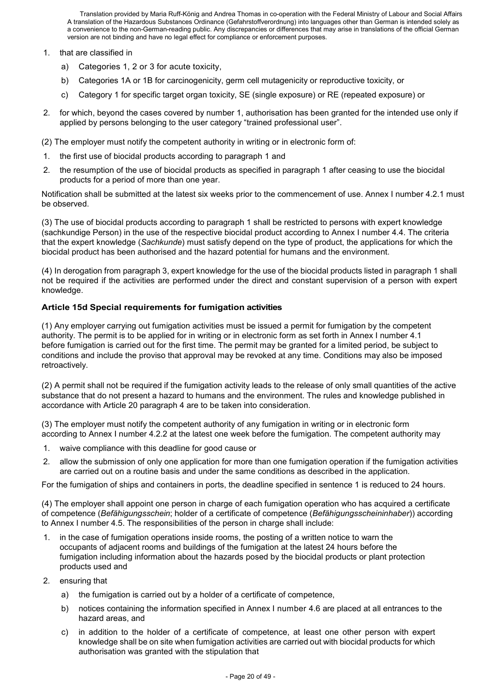- 1. that are classified in
	- a) Categories 1, 2 or 3 for acute toxicity,
	- b) Categories 1A or 1B for carcinogenicity, germ cell mutagenicity or reproductive toxicity, or
	- c) Category 1 for specific target organ toxicity, SE (single exposure) or RE (repeated exposure) or
- 2. for which, beyond the cases covered by number 1, authorisation has been granted for the intended use only if applied by persons belonging to the user category "trained professional user".

(2) The employer must notify the competent authority in writing or in electronic form of:

- 1. the first use of biocidal products according to paragraph 1 and
- 2. the resumption of the use of biocidal products as specified in paragraph 1 after ceasing to use the biocidal products for a period of more than one year.

Notification shall be submitted at the latest six weeks prior to the commencement of use. Annex I number 4.2.1 must be observed.

(3) The use of biocidal products according to paragraph 1 shall be restricted to persons with expert knowledge (sachkundige Person) in the use of the respective biocidal product according to Annex I number 4.4. The criteria that the expert knowledge (*Sachkunde*) must satisfy depend on the type of product, the applications for which the biocidal product has been authorised and the hazard potential for humans and the environment.

(4) In derogation from paragraph 3, expert knowledge for the use of the biocidal products listed in paragraph 1 shall not be required if the activities are performed under the direct and constant supervision of a person with expert knowledge.

#### **Article 15d Special requirements for fumigation activities**

(1) Any employer carrying out fumigation activities must be issued a permit for fumigation by the competent authority. The permit is to be applied for in writing or in electronic form as set forth in Annex I number 4.1 before fumigation is carried out for the first time. The permit may be granted for a limited period, be subject to conditions and include the proviso that approval may be revoked at any time. Conditions may also be imposed retroactively.

(2) A permit shall not be required if the fumigation activity leads to the release of only small quantities of the active substance that do not present a hazard to humans and the environment. The rules and knowledge published in accordance with Article 20 paragraph 4 are to be taken into consideration.

(3) The employer must notify the competent authority of any fumigation in writing or in electronic form according to Annex I number 4.2.2 at the latest one week before the fumigation. The competent authority may

- 1. waive compliance with this deadline for good cause or
- 2. allow the submission of only one application for more than one fumigation operation if the fumigation activities are carried out on a routine basis and under the same conditions as described in the application.

For the fumigation of ships and containers in ports, the deadline specified in sentence 1 is reduced to 24 hours.

(4) The employer shall appoint one person in charge of each fumigation operation who has acquired a certificate of competence (*Befähigungsschein*; holder of a certificate of competence (*Befähigungsscheininhaber*)) according to Annex I number 4.5. The responsibilities of the person in charge shall include:

- 1. in the case of fumigation operations inside rooms, the posting of a written notice to warn the occupants of adjacent rooms and buildings of the fumigation at the latest 24 hours before the fumigation including information about the hazards posed by the biocidal products or plant protection products used and
- 2. ensuring that
	- a) the fumigation is carried out by a holder of a certificate of competence,
	- b) notices containing the information specified in Annex I number 4.6 are placed at all entrances to the hazard areas, and
	- c) in addition to the holder of a certificate of competence, at least one other person with expert knowledge shall be on site when fumigation activities are carried out with biocidal products for which authorisation was granted with the stipulation that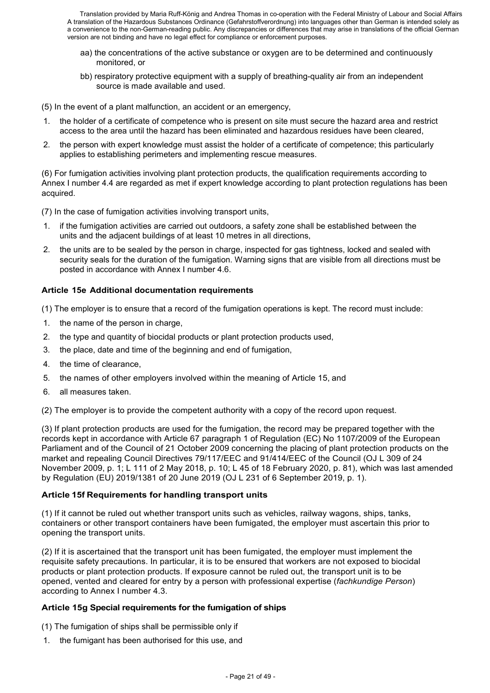- aa) the concentrations of the active substance or oxygen are to be determined and continuously monitored, or
- bb) respiratory protective equipment with a supply of breathing-quality air from an independent source is made available and used.

(5) In the event of a plant malfunction, an accident or an emergency,

- 1. the holder of a certificate of competence who is present on site must secure the hazard area and restrict access to the area until the hazard has been eliminated and hazardous residues have been cleared,
- 2. the person with expert knowledge must assist the holder of a certificate of competence; this particularly applies to establishing perimeters and implementing rescue measures.

(6) For fumigation activities involving plant protection products, the qualification requirements according to Annex I number 4.4 are regarded as met if expert knowledge according to plant protection regulations has been acquired.

(7) In the case of fumigation activities involving transport units,

- 1. if the fumigation activities are carried out outdoors, a safety zone shall be established between the units and the adjacent buildings of at least 10 metres in all directions,
- 2. the units are to be sealed by the person in charge, inspected for gas tightness, locked and sealed with security seals for the duration of the fumigation. Warning signs that are visible from all directions must be posted in accordance with Annex I number 4.6.

#### **Article 15e Additional documentation requirements**

(1) The employer is to ensure that a record of the fumigation operations is kept. The record must include:

- 1. the name of the person in charge,
- 2. the type and quantity of biocidal products or plant protection products used,
- 3. the place, date and time of the beginning and end of fumigation,
- 4. the time of clearance,
- 5. the names of other employers involved within the meaning of Article 15, and
- 6. all measures taken.

(2) The employer is to provide the competent authority with a copy of the record upon request.

(3) If plant protection products are used for the fumigation, the record may be prepared together with the records kept in accordance with Article 67 paragraph 1 of Regulation (EC) No 1107/2009 of the European Parliament and of the Council of 21 October 2009 concerning the placing of plant protection products on the market and repealing Council Directives 79/117/EEC and 91/414/EEC of the Council (OJ L 309 of 24 November 2009, p. 1; L 111 of 2 May 2018, p. 10; L 45 of 18 February 2020, p. 81), which was last amended by Regulation (EU) 2019/1381 of 20 June 2019 (OJ L 231 of 6 September 2019, p. 1).

#### **Article 15f Requirements for handling transport units**

(1) If it cannot be ruled out whether transport units such as vehicles, railway wagons, ships, tanks, containers or other transport containers have been fumigated, the employer must ascertain this prior to opening the transport units.

(2) If it is ascertained that the transport unit has been fumigated, the employer must implement the requisite safety precautions. In particular, it is to be ensured that workers are not exposed to biocidal products or plant protection products. If exposure cannot be ruled out, the transport unit is to be opened, vented and cleared for entry by a person with professional expertise (*fachkundige Person*) according to Annex I number 4.3.

#### **Article 15g Special requirements for the fumigation of ships**

(1) The fumigation of ships shall be permissible only if

1. the fumigant has been authorised for this use, and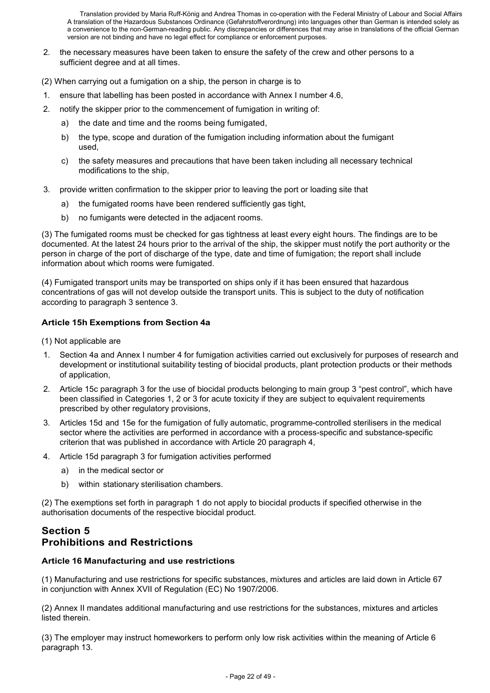- 2. the necessary measures have been taken to ensure the safety of the crew and other persons to a sufficient degree and at all times.
- (2) When carrying out a fumigation on a ship, the person in charge is to
- 1. ensure that labelling has been posted in accordance with Annex I number 4.6,
- 2. notify the skipper prior to the commencement of fumigation in writing of:
	- a) the date and time and the rooms being fumigated,
	- b) the type, scope and duration of the fumigation including information about the fumigant used,
	- c) the safety measures and precautions that have been taken including all necessary technical modifications to the ship,
- 3. provide written confirmation to the skipper prior to leaving the port or loading site that
	- a) the fumigated rooms have been rendered sufficiently gas tight,
	- b) no fumigants were detected in the adjacent rooms.

(3) The fumigated rooms must be checked for gas tightness at least every eight hours. The findings are to be documented. At the latest 24 hours prior to the arrival of the ship, the skipper must notify the port authority or the person in charge of the port of discharge of the type, date and time of fumigation; the report shall include information about which rooms were fumigated.

(4) Fumigated transport units may be transported on ships only if it has been ensured that hazardous concentrations of gas will not develop outside the transport units. This is subject to the duty of notification according to paragraph 3 sentence 3.

#### **Article 15h Exemptions from Section 4a**

(1) Not applicable are

- Section 4a and Annex I number 4 for fumigation activities carried out exclusively for purposes of research and development or institutional suitability testing of biocidal products, plant protection products or their methods of application,
- 2. Article 15c paragraph 3 for the use of biocidal products belonging to main group 3 "pest control", which have been classified in Categories 1, 2 or 3 for acute toxicity if they are subject to equivalent requirements prescribed by other regulatory provisions,
- 3. Articles 15d and 15e for the fumigation of fully automatic, programme-controlled sterilisers in the medical sector where the activities are performed in accordance with a process-specific and substance-specific criterion that was published in accordance with Article 20 paragraph 4,
- 4. Article 15d paragraph 3 for fumigation activities performed
	- a) in the medical sector or
	- b) within stationary sterilisation chambers.

(2) The exemptions set forth in paragraph 1 do not apply to biocidal products if specified otherwise in the authorisation documents of the respective biocidal product.

# **Section 5 Prohibitions and Restrictions**

#### **Article 16 Manufacturing and use restrictions**

(1) Manufacturing and use restrictions for specific substances, mixtures and articles are laid down in Article 67 in conjunction with Annex XVII of Regulation (EC) No 1907/2006.

(2) Annex II mandates additional manufacturing and use restrictions for the substances, mixtures and articles listed therein.

(3) The employer may instruct homeworkers to perform only low risk activities within the meaning of Article 6 paragraph 13.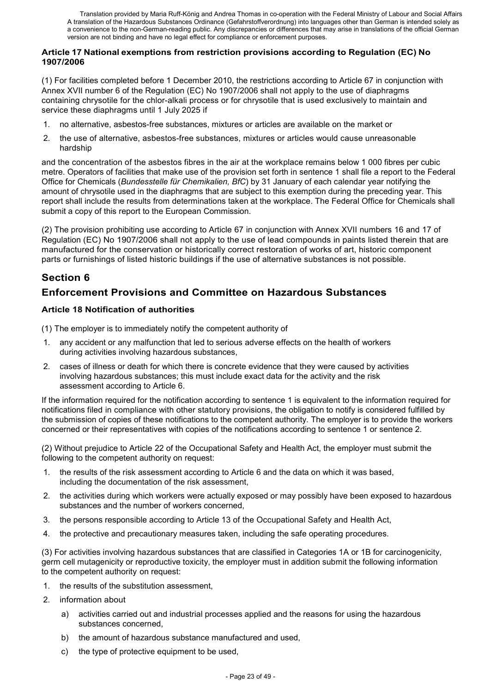#### **Article 17 National exemptions from restriction provisions according to Regulation (EC) No 1907/2006**

(1) For facilities completed before 1 December 2010, the restrictions according to Article 67 in conjunction with Annex XVII number 6 of the Regulation (EC) No 1907/2006 shall not apply to the use of diaphragms containing chrysotile for the chlor-alkali process or for chrysotile that is used exclusively to maintain and service these diaphragms until 1 July 2025 if

- 1. no alternative, asbestos-free substances, mixtures or articles are available on the market or
- 2. the use of alternative, asbestos-free substances, mixtures or articles would cause unreasonable hardship

and the concentration of the asbestos fibres in the air at the workplace remains below 1 000 fibres per cubic metre. Operators of facilities that make use of the provision set forth in sentence 1 shall file a report to the Federal Office for Chemicals (*Bundesstelle für Chemikalien, BfC*) by 31 January of each calendar year notifying the amount of chrysotile used in the diaphragms that are subject to this exemption during the preceding year. This report shall include the results from determinations taken at the workplace. The Federal Office for Chemicals shall submit a copy of this report to the European Commission.

(2) The provision prohibiting use according to Article 67 in conjunction with Annex XVII numbers 16 and 17 of Regulation (EC) No 1907/2006 shall not apply to the use of lead compounds in paints listed therein that are manufactured for the conservation or historically correct restoration of works of art, historic component parts or furnishings of listed historic buildings if the use of alternative substances is not possible.

# **Section 6**

# **Enforcement Provisions and Committee on Hazardous Substances**

# **Article 18 Notification of authorities**

(1) The employer is to immediately notify the competent authority of

- 1. any accident or any malfunction that led to serious adverse effects on the health of workers during activities involving hazardous substances,
- 2. cases of illness or death for which there is concrete evidence that they were caused by activities involving hazardous substances; this must include exact data for the activity and the risk assessment according to Article 6.

If the information required for the notification according to sentence 1 is equivalent to the information required for notifications filed in compliance with other statutory provisions, the obligation to notify is considered fulfilled by the submission of copies of these notifications to the competent authority. The employer is to provide the workers concerned or their representatives with copies of the notifications according to sentence 1 or sentence 2.

(2) Without prejudice to Article 22 of the Occupational Safety and Health Act, the employer must submit the following to the competent authority on request:

- 1. the results of the risk assessment according to Article 6 and the data on which it was based, including the documentation of the risk assessment,
- 2. the activities during which workers were actually exposed or may possibly have been exposed to hazardous substances and the number of workers concerned,
- 3. the persons responsible according to Article 13 of the Occupational Safety and Health Act,
- 4. the protective and precautionary measures taken, including the safe operating procedures.

(3) For activities involving hazardous substances that are classified in Categories 1A or 1B for carcinogenicity, germ cell mutagenicity or reproductive toxicity, the employer must in addition submit the following information to the competent authority on request:

- 1. the results of the substitution assessment,
- 2. information about
	- a) activities carried out and industrial processes applied and the reasons for using the hazardous substances concerned,
	- b) the amount of hazardous substance manufactured and used,
	- c) the type of protective equipment to be used,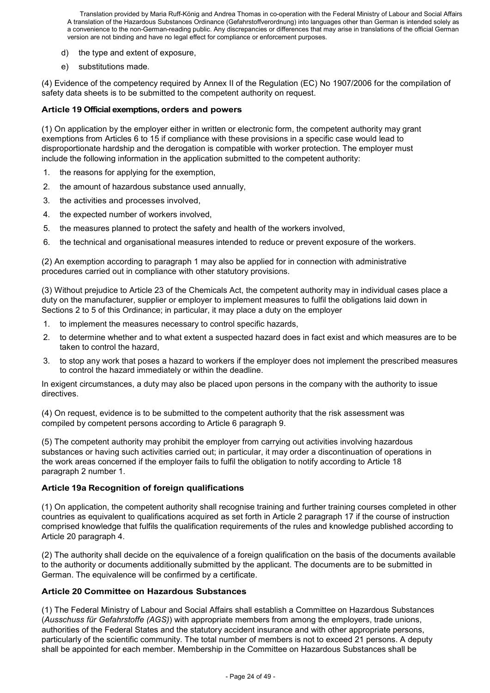- d) the type and extent of exposure,
- e) substitutions made.

(4) Evidence of the competency required by Annex II of the Regulation (EC) No 1907/2006 for the compilation of safety data sheets is to be submitted to the competent authority on request.

### **Article 19 Official exemptions, orders and powers**

(1) On application by the employer either in written or electronic form, the competent authority may grant exemptions from Articles 6 to 15 if compliance with these provisions in a specific case would lead to disproportionate hardship and the derogation is compatible with worker protection. The employer must include the following information in the application submitted to the competent authority:

- 1. the reasons for applying for the exemption,
- 2. the amount of hazardous substance used annually,
- 3. the activities and processes involved,
- 4. the expected number of workers involved,
- 5. the measures planned to protect the safety and health of the workers involved,
- 6. the technical and organisational measures intended to reduce or prevent exposure of the workers.

(2) An exemption according to paragraph 1 may also be applied for in connection with administrative procedures carried out in compliance with other statutory provisions.

(3) Without prejudice to Article 23 of the Chemicals Act, the competent authority may in individual cases place a duty on the manufacturer, supplier or employer to implement measures to fulfil the obligations laid down in Sections 2 to 5 of this Ordinance; in particular, it may place a duty on the employer

- 1. to implement the measures necessary to control specific hazards,
- 2. to determine whether and to what extent a suspected hazard does in fact exist and which measures are to be taken to control the hazard,
- 3. to stop any work that poses a hazard to workers if the employer does not implement the prescribed measures to control the hazard immediately or within the deadline.

In exigent circumstances, a duty may also be placed upon persons in the company with the authority to issue directives.

(4) On request, evidence is to be submitted to the competent authority that the risk assessment was compiled by competent persons according to Article 6 paragraph 9.

(5) The competent authority may prohibit the employer from carrying out activities involving hazardous substances or having such activities carried out; in particular, it may order a discontinuation of operations in the work areas concerned if the employer fails to fulfil the obligation to notify according to Article 18 paragraph 2 number 1.

#### **Article 19a Recognition of foreign qualifications**

(1) On application, the competent authority shall recognise training and further training courses completed in other countries as equivalent to qualifications acquired as set forth in Article 2 paragraph 17 if the course of instruction comprised knowledge that fulfils the qualification requirements of the rules and knowledge published according to Article 20 paragraph 4.

(2) The authority shall decide on the equivalence of a foreign qualification on the basis of the documents available to the authority or documents additionally submitted by the applicant. The documents are to be submitted in German. The equivalence will be confirmed by a certificate.

#### **Article 20 Committee on Hazardous Substances**

(1) The Federal Ministry of Labour and Social Affairs shall establish a Committee on Hazardous Substances (*Ausschuss für Gefahrstoffe (AGS)*) with appropriate members from among the employers, trade unions, authorities of the Federal States and the statutory accident insurance and with other appropriate persons, particularly of the scientific community. The total number of members is not to exceed 21 persons. A deputy shall be appointed for each member. Membership in the Committee on Hazardous Substances shall be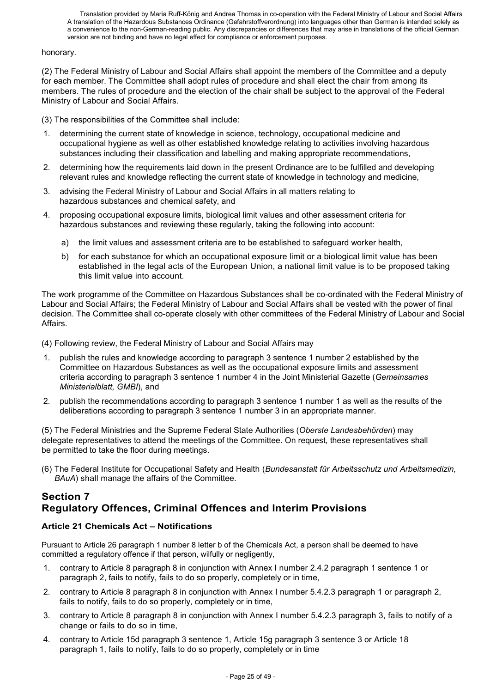#### honorary.

(2) The Federal Ministry of Labour and Social Affairs shall appoint the members of the Committee and a deputy for each member. The Committee shall adopt rules of procedure and shall elect the chair from among its members. The rules of procedure and the election of the chair shall be subject to the approval of the Federal Ministry of Labour and Social Affairs.

(3) The responsibilities of the Committee shall include:

- 1. determining the current state of knowledge in science, technology, occupational medicine and occupational hygiene as well as other established knowledge relating to activities involving hazardous substances including their classification and labelling and making appropriate recommendations,
- 2. determining how the requirements laid down in the present Ordinance are to be fulfilled and developing relevant rules and knowledge reflecting the current state of knowledge in technology and medicine,
- 3. advising the Federal Ministry of Labour and Social Affairs in all matters relating to hazardous substances and chemical safety, and
- 4. proposing occupational exposure limits, biological limit values and other assessment criteria for hazardous substances and reviewing these regularly, taking the following into account:
	- a) the limit values and assessment criteria are to be established to safeguard worker health,
	- b) for each substance for which an occupational exposure limit or a biological limit value has been established in the legal acts of the European Union, a national limit value is to be proposed taking this limit value into account.

The work programme of the Committee on Hazardous Substances shall be co-ordinated with the Federal Ministry of Labour and Social Affairs; the Federal Ministry of Labour and Social Affairs shall be vested with the power of final decision. The Committee shall co-operate closely with other committees of the Federal Ministry of Labour and Social Affairs.

(4) Following review, the Federal Ministry of Labour and Social Affairs may

- 1. publish the rules and knowledge according to paragraph 3 sentence 1 number 2 established by the Committee on Hazardous Substances as well as the occupational exposure limits and assessment criteria according to paragraph 3 sentence 1 number 4 in the Joint Ministerial Gazette (*Gemeinsames Ministerialblatt, GMBI*), and
- 2. publish the recommendations according to paragraph 3 sentence 1 number 1 as well as the results of the deliberations according to paragraph 3 sentence 1 number 3 in an appropriate manner.

(5) The Federal Ministries and the Supreme Federal State Authorities (*Oberste Landesbehörden*) may delegate representatives to attend the meetings of the Committee. On request, these representatives shall be permitted to take the floor during meetings.

(6) The Federal Institute for Occupational Safety and Health (*Bundesanstalt für Arbeitsschutz und Arbeitsmedizin, BAuA*) shall manage the affairs of the Committee.

# **Section 7 Regulatory Offences, Criminal Offences and Interim Provisions**

# **Article 21 Chemicals Act – Notifications**

Pursuant to Article 26 paragraph 1 number 8 letter b of the Chemicals Act, a person shall be deemed to have committed a regulatory offence if that person, wilfully or negligently,

- 1. contrary to Article 8 paragraph 8 in conjunction with Annex I number 2.4.2 paragraph 1 sentence 1 or paragraph 2, fails to notify, fails to do so properly, completely or in time,
- 2. contrary to Article 8 paragraph 8 in conjunction with Annex I number 5.4.2.3 paragraph 1 or paragraph 2, fails to notify, fails to do so properly, completely or in time,
- 3. contrary to Article 8 paragraph 8 in conjunction with Annex I number 5.4.2.3 paragraph 3, fails to notify of a change or fails to do so in time,
- 4. contrary to Article 15d paragraph 3 sentence 1, Article 15g paragraph 3 sentence 3 or Article 18 paragraph 1, fails to notify, fails to do so properly, completely or in time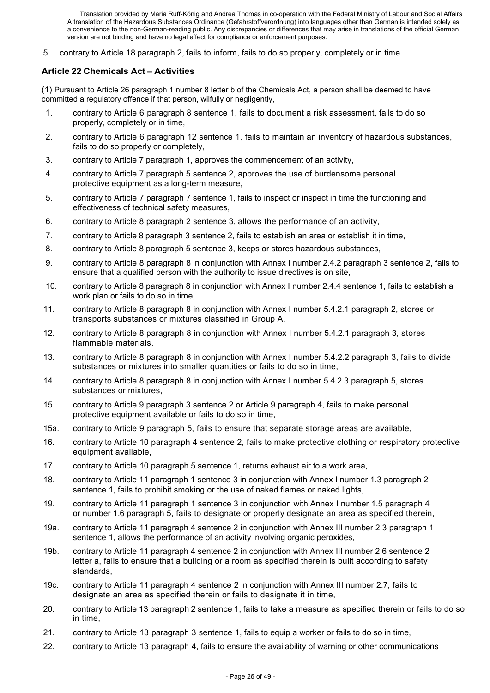5. contrary to Article 18 paragraph 2, fails to inform, fails to do so properly, completely or in time.

# **Article 22 Chemicals Act – Activities**

(1) Pursuant to Article 26 paragraph 1 number 8 letter b of the Chemicals Act, a person shall be deemed to have committed a regulatory offence if that person, wilfully or negligently,

- 1. contrary to Article 6 paragraph 8 sentence 1, fails to document a risk assessment, fails to do so properly, completely or in time,
- 2. contrary to Article 6 paragraph 12 sentence 1, fails to maintain an inventory of hazardous substances, fails to do so properly or completely,
- 3. contrary to Article 7 paragraph 1, approves the commencement of an activity,
- 4. contrary to Article 7 paragraph 5 sentence 2, approves the use of burdensome personal protective equipment as a long-term measure,
- 5. contrary to Article 7 paragraph 7 sentence 1, fails to inspect or inspect in time the functioning and effectiveness of technical safety measures,
- 6. contrary to Article 8 paragraph 2 sentence 3, allows the performance of an activity,
- 7. contrary to Article 8 paragraph 3 sentence 2, fails to establish an area or establish it in time,
- 8. contrary to Article 8 paragraph 5 sentence 3, keeps or stores hazardous substances,
- 9. contrary to Article 8 paragraph 8 in conjunction with Annex I number 2.4.2 paragraph 3 sentence 2, fails to ensure that a qualified person with the authority to issue directives is on site,
- 10. contrary to Article 8 paragraph 8 in conjunction with Annex I number 2.4.4 sentence 1, fails to establish a work plan or fails to do so in time,
- 11. contrary to Article 8 paragraph 8 in conjunction with Annex I number 5.4.2.1 paragraph 2, stores or transports substances or mixtures classified in Group A,
- 12. contrary to Article 8 paragraph 8 in conjunction with Annex I number 5.4.2.1 paragraph 3, stores flammable materials,
- 13. contrary to Article 8 paragraph 8 in conjunction with Annex I number 5.4.2.2 paragraph 3, fails to divide substances or mixtures into smaller quantities or fails to do so in time,
- 14. contrary to Article 8 paragraph 8 in conjunction with Annex I number 5.4.2.3 paragraph 5, stores substances or mixtures,
- 15. contrary to Article 9 paragraph 3 sentence 2 or Article 9 paragraph 4, fails to make personal protective equipment available or fails to do so in time,
- 15a. contrary to Article 9 paragraph 5, fails to ensure that separate storage areas are available,
- 16. contrary to Article 10 paragraph 4 sentence 2, fails to make protective clothing or respiratory protective equipment available,
- 17. contrary to Article 10 paragraph 5 sentence 1, returns exhaust air to a work area,
- 18. contrary to Article 11 paragraph 1 sentence 3 in conjunction with Annex I number 1.3 paragraph 2 sentence 1, fails to prohibit smoking or the use of naked flames or naked lights,
- 19. contrary to Article 11 paragraph 1 sentence 3 in conjunction with Annex I number 1.5 paragraph 4 or number 1.6 paragraph 5, fails to designate or properly designate an area as specified therein,
- 19a. contrary to Article 11 paragraph 4 sentence 2 in conjunction with Annex III number 2.3 paragraph 1 sentence 1, allows the performance of an activity involving organic peroxides,
- 19b. contrary to Article 11 paragraph 4 sentence 2 in conjunction with Annex III number 2.6 sentence 2 letter a, fails to ensure that a building or a room as specified therein is built according to safety standards,
- 19c. contrary to Article 11 paragraph 4 sentence 2 in conjunction with Annex III number 2.7, fails to designate an area as specified therein or fails to designate it in time,
- 20. contrary to Article 13 paragraph 2 sentence 1, fails to take a measure as specified therein or fails to do so in time,
- 21. contrary to Article 13 paragraph 3 sentence 1, fails to equip a worker or fails to do so in time,
- 22. contrary to Article 13 paragraph 4, fails to ensure the availability of warning or other communications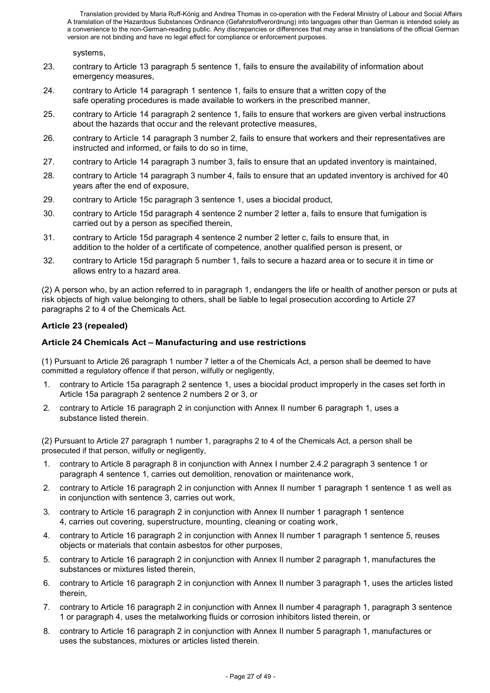systems,

- 23. contrary to Article 13 paragraph 5 sentence 1, fails to ensure the availability of information about emergency measures,
- 24. contrary to Article 14 paragraph 1 sentence 1, fails to ensure that a written copy of the safe operating procedures is made available to workers in the prescribed manner,
- 25. contrary to Article 14 paragraph 2 sentence 1, fails to ensure that workers are given verbal instructions about the hazards that occur and the relevant protective measures,
- 26. contrary to Article 14 paragraph 3 number 2, fails to ensure that workers and their representatives are instructed and informed, or fails to do so in time,
- 27. contrary to Article 14 paragraph 3 number 3, fails to ensure that an updated inventory is maintained,
- 28. contrary to Article 14 paragraph 3 number 4, fails to ensure that an updated inventory is archived for 40 years after the end of exposure,
- 29. contrary to Article 15c paragraph 3 sentence 1, uses a biocidal product,
- 30. contrary to Article 15d paragraph 4 sentence 2 number 2 letter a, fails to ensure that fumigation is carried out by a person as specified therein,
- 31. contrary to Article 15d paragraph 4 sentence 2 number 2 letter c, fails to ensure that, in addition to the holder of a certificate of competence, another qualified person is present, or
- 32. contrary to Article 15d paragraph 5 number 1, fails to secure a hazard area or to secure it in time or allows entry to a hazard area.

(2) A person who, by an action referred to in paragraph 1, endangers the life or health of another person or puts at risk objects of high value belonging to others, shall be liable to legal prosecution according to Article 27 paragraphs 2 to 4 of the Chemicals Act.

# **Article 23 (repealed)**

# **Article 24 Chemicals Act – Manufacturing and use restrictions**

(1) Pursuant to Article 26 paragraph 1 number 7 letter a of the Chemicals Act, a person shall be deemed to have committed a regulatory offence if that person, wilfully or negligently,

- 1. contrary to Article 15a paragraph 2 sentence 1, uses a biocidal product improperly in the cases set forth in Article 15a paragraph 2 sentence 2 numbers 2 or 3, or
- 2. contrary to Article 16 paragraph 2 in conjunction with Annex II number 6 paragraph 1, uses a substance listed therein.

(2) Pursuant to Article 27 paragraph 1 number 1, paragraphs 2 to 4 of the Chemicals Act, a person shall be prosecuted if that person, wilfully or negligently,

- 1. contrary to Article 8 paragraph 8 in conjunction with Annex I number 2.4.2 paragraph 3 sentence 1 or paragraph 4 sentence 1, carries out demolition, renovation or maintenance work,
- 2. contrary to Article 16 paragraph 2 in conjunction with Annex II number 1 paragraph 1 sentence 1 as well as in conjunction with sentence 3, carries out work,
- 3. contrary to Article 16 paragraph 2 in conjunction with Annex II number 1 paragraph 1 sentence 4, carries out covering, superstructure, mounting, cleaning or coating work,
- 4. contrary to Article 16 paragraph 2 in conjunction with Annex II number 1 paragraph 1 sentence 5, reuses objects or materials that contain asbestos for other purposes,
- 5. contrary to Article 16 paragraph 2 in conjunction with Annex II number 2 paragraph 1, manufactures the substances or mixtures listed therein,
- 6. contrary to Article 16 paragraph 2 in conjunction with Annex II number 3 paragraph 1, uses the articles listed therein,
- 7. contrary to Article 16 paragraph 2 in conjunction with Annex II number 4 paragraph 1, paragraph 3 sentence 1 or paragraph 4, uses the metalworking fluids or corrosion inhibitors listed therein, or
- 8. contrary to Article 16 paragraph 2 in conjunction with Annex II number 5 paragraph 1, manufactures or uses the substances, mixtures or articles listed therein.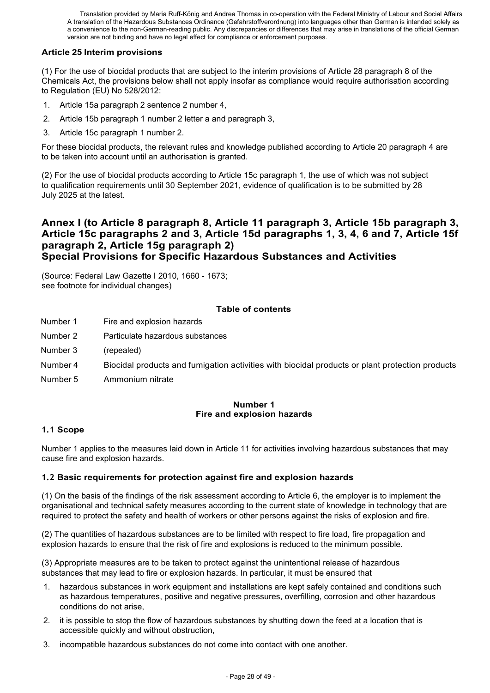# **Article 25 Interim provisions**

(1) For the use of biocidal products that are subject to the interim provisions of Article 28 paragraph 8 of the Chemicals Act, the provisions below shall not apply insofar as compliance would require authorisation according to Regulation (EU) No 528/2012:

- 1. Article 15a paragraph 2 sentence 2 number 4,
- 2. Article 15b paragraph 1 number 2 letter a and paragraph 3,
- 3. Article 15c paragraph 1 number 2.

For these biocidal products, the relevant rules and knowledge published according to Article 20 paragraph 4 are to be taken into account until an authorisation is granted.

(2) For the use of biocidal products according to Article 15c paragraph 1, the use of which was not subject to qualification requirements until 30 September 2021, evidence of qualification is to be submitted by 28 July 2025 at the latest.

# **Annex I (to Article 8 paragraph 8, Article 11 paragraph 3, Article 15b paragraph 3, Article 15c paragraphs 2 and 3, Article 15d paragraphs 1, 3, 4, 6 and 7, Article 15f paragraph 2, Article 15g paragraph 2) Special Provisions for Specific Hazardous Substances and Activities**

(Source: Federal Law Gazette I 2010, 1660 - 1673; see footnote for individual changes)

#### **Table of contents**

- Number 1 Fire and explosion hazards
- Number 2 Particulate hazardous substances
- Number 3 (repealed)
- Number 4 Biocidal products and fumigation activities with biocidal products or plant protection products
- Number 5 Ammonium nitrate

# **Number 1 Fire and explosion hazards**

#### **1.1 Scope**

Number 1 applies to the measures laid down in Article 11 for activities involving hazardous substances that may cause fire and explosion hazards.

#### **1.2 Basic requirements for protection against fire and explosion hazards**

(1) On the basis of the findings of the risk assessment according to Article 6, the employer is to implement the organisational and technical safety measures according to the current state of knowledge in technology that are required to protect the safety and health of workers or other persons against the risks of explosion and fire.

(2) The quantities of hazardous substances are to be limited with respect to fire load, fire propagation and explosion hazards to ensure that the risk of fire and explosions is reduced to the minimum possible.

(3) Appropriate measures are to be taken to protect against the unintentional release of hazardous substances that may lead to fire or explosion hazards. In particular, it must be ensured that

- 1. hazardous substances in work equipment and installations are kept safely contained and conditions such as hazardous temperatures, positive and negative pressures, overfilling, corrosion and other hazardous conditions do not arise,
- 2. it is possible to stop the flow of hazardous substances by shutting down the feed at a location that is accessible quickly and without obstruction,
- 3. incompatible hazardous substances do not come into contact with one another.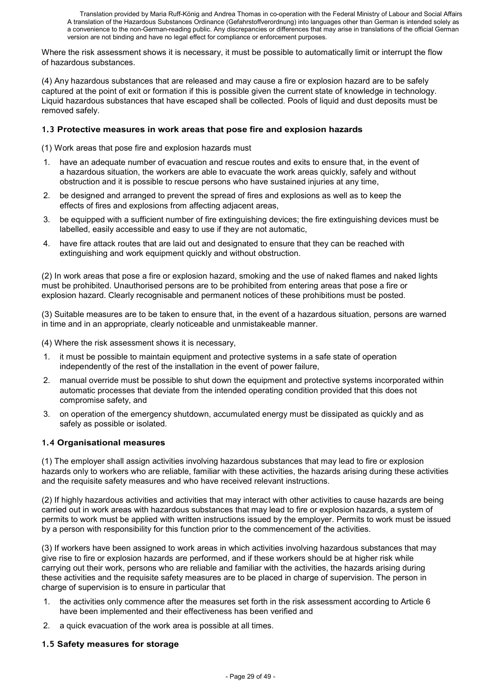Where the risk assessment shows it is necessary, it must be possible to automatically limit or interrupt the flow of hazardous substances.

(4) Any hazardous substances that are released and may cause a fire or explosion hazard are to be safely captured at the point of exit or formation if this is possible given the current state of knowledge in technology. Liquid hazardous substances that have escaped shall be collected. Pools of liquid and dust deposits must be removed safely.

### **1.3 Protective measures in work areas that pose fire and explosion hazards**

(1) Work areas that pose fire and explosion hazards must

- 1. have an adequate number of evacuation and rescue routes and exits to ensure that, in the event of a hazardous situation, the workers are able to evacuate the work areas quickly, safely and without obstruction and it is possible to rescue persons who have sustained injuries at any time,
- 2. be designed and arranged to prevent the spread of fires and explosions as well as to keep the effects of fires and explosions from affecting adjacent areas,
- 3. be equipped with a sufficient number of fire extinguishing devices; the fire extinguishing devices must be labelled, easily accessible and easy to use if they are not automatic,
- 4. have fire attack routes that are laid out and designated to ensure that they can be reached with extinguishing and work equipment quickly and without obstruction.

(2) In work areas that pose a fire or explosion hazard, smoking and the use of naked flames and naked lights must be prohibited. Unauthorised persons are to be prohibited from entering areas that pose a fire or explosion hazard. Clearly recognisable and permanent notices of these prohibitions must be posted.

(3) Suitable measures are to be taken to ensure that, in the event of a hazardous situation, persons are warned in time and in an appropriate, clearly noticeable and unmistakeable manner.

(4) Where the risk assessment shows it is necessary,

- 1. it must be possible to maintain equipment and protective systems in a safe state of operation independently of the rest of the installation in the event of power failure,
- 2. manual override must be possible to shut down the equipment and protective systems incorporated within automatic processes that deviate from the intended operating condition provided that this does not compromise safety, and
- 3. on operation of the emergency shutdown, accumulated energy must be dissipated as quickly and as safely as possible or isolated.

# **1.4 Organisational measures**

(1) The employer shall assign activities involving hazardous substances that may lead to fire or explosion hazards only to workers who are reliable, familiar with these activities, the hazards arising during these activities and the requisite safety measures and who have received relevant instructions.

(2) If highly hazardous activities and activities that may interact with other activities to cause hazards are being carried out in work areas with hazardous substances that may lead to fire or explosion hazards, a system of permits to work must be applied with written instructions issued by the employer. Permits to work must be issued by a person with responsibility for this function prior to the commencement of the activities.

(3) If workers have been assigned to work areas in which activities involving hazardous substances that may give rise to fire or explosion hazards are performed, and if these workers should be at higher risk while carrying out their work, persons who are reliable and familiar with the activities, the hazards arising during these activities and the requisite safety measures are to be placed in charge of supervision. The person in charge of supervision is to ensure in particular that

- 1. the activities only commence after the measures set forth in the risk assessment according to Article 6 have been implemented and their effectiveness has been verified and
- 2. a quick evacuation of the work area is possible at all times.

# **1.5 Safety measures for storage**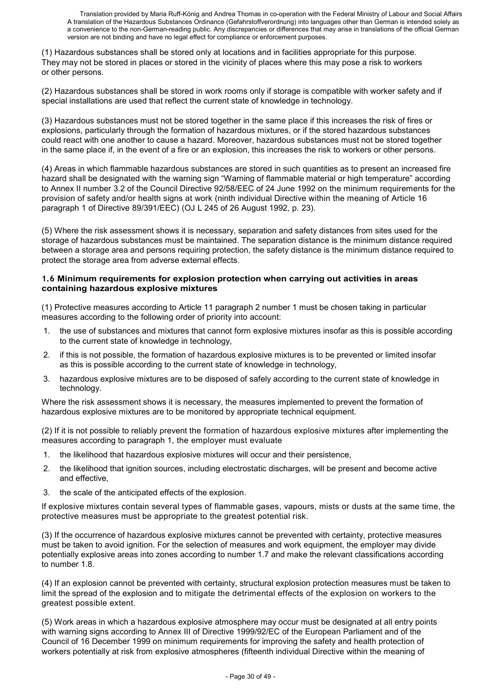(1) Hazardous substances shall be stored only at locations and in facilities appropriate for this purpose. They may not be stored in places or stored in the vicinity of places where this may pose a risk to workers or other persons.

(2) Hazardous substances shall be stored in work rooms only if storage is compatible with worker safety and if special installations are used that reflect the current state of knowledge in technology.

(3) Hazardous substances must not be stored together in the same place if this increases the risk of fires or explosions, particularly through the formation of hazardous mixtures, or if the stored hazardous substances could react with one another to cause a hazard. Moreover, hazardous substances must not be stored together in the same place if, in the event of a fire or an explosion, this increases the risk to workers or other persons.

(4) Areas in which flammable hazardous substances are stored in such quantities as to present an increased fire hazard shall be designated with the warning sign "Warning of flammable material or high temperature" according to Annex II number 3.2 of the Council Directive 92/58/EEC of 24 June 1992 on the minimum requirements for the provision of safety and/or health signs at work (ninth individual Directive within the meaning of Article 16 paragraph 1 of Directive 89/391/EEC) (OJ L 245 of 26 August 1992, p. 23).

(5) Where the risk assessment shows it is necessary, separation and safety distances from sites used for the storage of hazardous substances must be maintained. The separation distance is the minimum distance required between a storage area and persons requiring protection, the safety distance is the minimum distance required to protect the storage area from adverse external effects.

#### **1.6 Minimum requirements for explosion protection when carrying out activities in areas containing hazardous explosive mixtures**

(1) Protective measures according to Article 11 paragraph 2 number 1 must be chosen taking in particular measures according to the following order of priority into account:

- 1. the use of substances and mixtures that cannot form explosive mixtures insofar as this is possible according to the current state of knowledge in technology,
- 2. if this is not possible, the formation of hazardous explosive mixtures is to be prevented or limited insofar as this is possible according to the current state of knowledge in technology,
- 3. hazardous explosive mixtures are to be disposed of safely according to the current state of knowledge in technology.

Where the risk assessment shows it is necessary, the measures implemented to prevent the formation of hazardous explosive mixtures are to be monitored by appropriate technical equipment.

(2) If it is not possible to reliably prevent the formation of hazardous explosive mixtures after implementing the measures according to paragraph 1, the employer must evaluate

- 1. the likelihood that hazardous explosive mixtures will occur and their persistence,
- 2. the likelihood that ignition sources, including electrostatic discharges, will be present and become active and effective,
- 3. the scale of the anticipated effects of the explosion.

If explosive mixtures contain several types of flammable gases, vapours, mists or dusts at the same time, the protective measures must be appropriate to the greatest potential risk.

(3) If the occurrence of hazardous explosive mixtures cannot be prevented with certainty, protective measures must be taken to avoid ignition. For the selection of measures and work equipment, the employer may divide potentially explosive areas into zones according to number 1.7 and make the relevant classifications according to number 1.8.

(4) If an explosion cannot be prevented with certainty, structural explosion protection measures must be taken to limit the spread of the explosion and to mitigate the detrimental effects of the explosion on workers to the greatest possible extent.

(5) Work areas in which a hazardous explosive atmosphere may occur must be designated at all entry points with warning signs according to Annex III of Directive 1999/92/EC of the European Parliament and of the Council of 16 December 1999 on minimum requirements for improving the safety and health protection of workers potentially at risk from explosive atmospheres (fifteenth individual Directive within the meaning of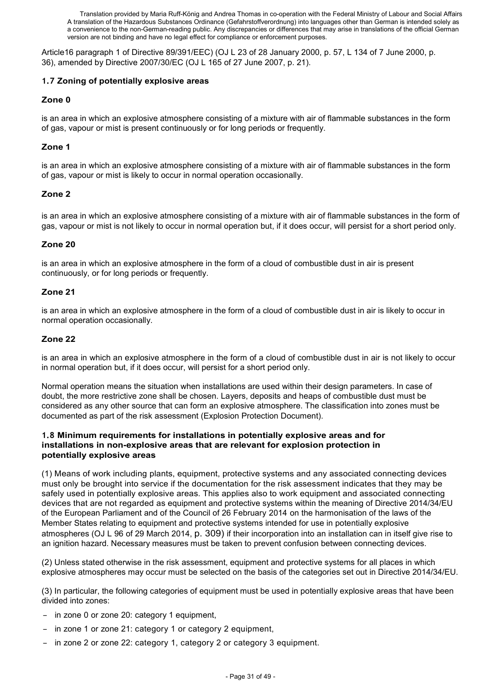Article16 paragraph 1 of Directive 89/391/EEC) (OJ L 23 of 28 January 2000, p. 57, L 134 of 7 June 2000, p. 36), amended by Directive 2007/30/EC (OJ L 165 of 27 June 2007, p. 21).

### **1.7 Zoning of potentially explosive areas**

### **Zone 0**

is an area in which an explosive atmosphere consisting of a mixture with air of flammable substances in the form of gas, vapour or mist is present continuously or for long periods or frequently.

### **Zone 1**

is an area in which an explosive atmosphere consisting of a mixture with air of flammable substances in the form of gas, vapour or mist is likely to occur in normal operation occasionally.

# **Zone 2**

is an area in which an explosive atmosphere consisting of a mixture with air of flammable substances in the form of gas, vapour or mist is not likely to occur in normal operation but, if it does occur, will persist for a short period only.

#### **Zone 20**

is an area in which an explosive atmosphere in the form of a cloud of combustible dust in air is present continuously, or for long periods or frequently.

#### **Zone 21**

is an area in which an explosive atmosphere in the form of a cloud of combustible dust in air is likely to occur in normal operation occasionally.

# **Zone 22**

is an area in which an explosive atmosphere in the form of a cloud of combustible dust in air is not likely to occur in normal operation but, if it does occur, will persist for a short period only.

Normal operation means the situation when installations are used within their design parameters. In case of doubt, the more restrictive zone shall be chosen. Layers, deposits and heaps of combustible dust must be considered as any other source that can form an explosive atmosphere. The classification into zones must be documented as part of the risk assessment (Explosion Protection Document).

#### **1.8 Minimum requirements for installations in potentially explosive areas and for installations in non-explosive areas that are relevant for explosion protection in potentially explosive areas**

(1) Means of work including plants, equipment, protective systems and any associated connecting devices must only be brought into service if the documentation for the risk assessment indicates that they may be safely used in potentially explosive areas. This applies also to work equipment and associated connecting devices that are not regarded as equipment and protective systems within the meaning of Directive 2014/34/EU of the European Parliament and of the Council of 26 February 2014 on the harmonisation of the laws of the Member States relating to equipment and protective systems intended for use in potentially explosive atmospheres (OJ L 96 of 29 March 2014, p. 309) if their incorporation into an installation can in itself give rise to an ignition hazard. Necessary measures must be taken to prevent confusion between connecting devices.

(2) Unless stated otherwise in the risk assessment, equipment and protective systems for all places in which explosive atmospheres may occur must be selected on the basis of the categories set out in Directive 2014/34/EU.

(3) In particular, the following categories of equipment must be used in potentially explosive areas that have been divided into zones:

- in zone 0 or zone 20: category 1 equipment,
- in zone 1 or zone 21: category 1 or category 2 equipment,
- in zone 2 or zone 22: category 1, category 2 or category 3 equipment.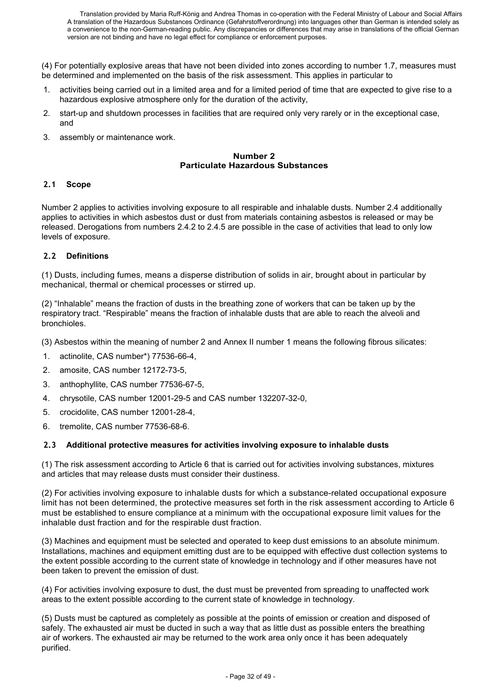(4) For potentially explosive areas that have not been divided into zones according to number 1.7, measures must be determined and implemented on the basis of the risk assessment. This applies in particular to

- activities being carried out in a limited area and for a limited period of time that are expected to give rise to a hazardous explosive atmosphere only for the duration of the activity,
- 2. start-up and shutdown processes in facilities that are required only very rarely or in the exceptional case, and
- 3. assembly or maintenance work.

#### **Number 2 Particulate Hazardous Substances**

#### **2.1 Scope**

Number 2 applies to activities involving exposure to all respirable and inhalable dusts. Number 2.4 additionally applies to activities in which asbestos dust or dust from materials containing asbestos is released or may be released. Derogations from numbers 2.4.2 to 2.4.5 are possible in the case of activities that lead to only low levels of exposure.

#### **2.2 Definitions**

(1) Dusts, including fumes, means a disperse distribution of solids in air, brought about in particular by mechanical, thermal or chemical processes or stirred up.

(2) "Inhalable" means the fraction of dusts in the breathing zone of workers that can be taken up by the respiratory tract. "Respirable" means the fraction of inhalable dusts that are able to reach the alveoli and bronchioles.

- (3) Asbestos within the meaning of number 2 and Annex II number 1 means the following fibrous silicates:
- 1. actinolite, CAS number\*) 77536-66-4,
- 2. amosite, CAS number 12172-73-5,
- 3. anthophyllite, CAS number 77536-67-5,
- 4. chrysotile, CAS number 12001-29-5 and CAS number 132207-32-0,
- 5. crocidolite, CAS number 12001-28-4,
- 6. tremolite, CAS number 77536-68-6.

#### **2.3 Additional protective measures for activities involving exposure to inhalable dusts**

(1) The risk assessment according to Article 6 that is carried out for activities involving substances, mixtures and articles that may release dusts must consider their dustiness.

(2) For activities involving exposure to inhalable dusts for which a substance-related occupational exposure limit has not been determined, the protective measures set forth in the risk assessment according to Article 6 must be established to ensure compliance at a minimum with the occupational exposure limit values for the inhalable dust fraction and for the respirable dust fraction.

(3) Machines and equipment must be selected and operated to keep dust emissions to an absolute minimum. Installations, machines and equipment emitting dust are to be equipped with effective dust collection systems to the extent possible according to the current state of knowledge in technology and if other measures have not been taken to prevent the emission of dust.

(4) For activities involving exposure to dust, the dust must be prevented from spreading to unaffected work areas to the extent possible according to the current state of knowledge in technology.

(5) Dusts must be captured as completely as possible at the points of emission or creation and disposed of safely. The exhausted air must be ducted in such a way that as little dust as possible enters the breathing air of workers. The exhausted air may be returned to the work area only once it has been adequately purified.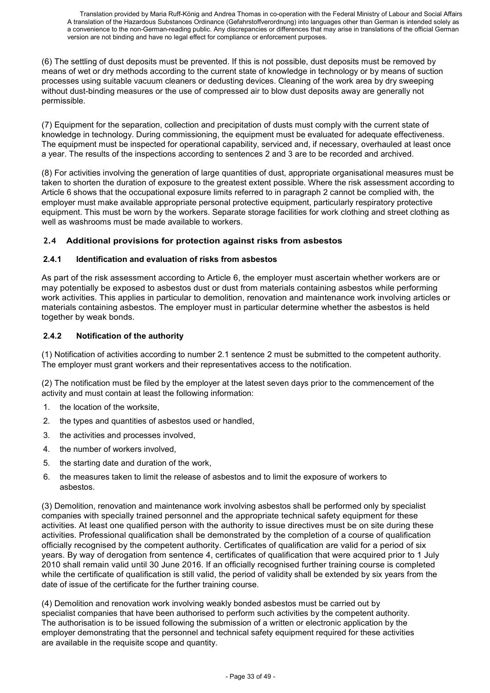(6) The settling of dust deposits must be prevented. If this is not possible, dust deposits must be removed by means of wet or dry methods according to the current state of knowledge in technology or by means of suction processes using suitable vacuum cleaners or dedusting devices. Cleaning of the work area by dry sweeping without dust-binding measures or the use of compressed air to blow dust deposits away are generally not permissible.

(7) Equipment for the separation, collection and precipitation of dusts must comply with the current state of knowledge in technology. During commissioning, the equipment must be evaluated for adequate effectiveness. The equipment must be inspected for operational capability, serviced and, if necessary, overhauled at least once a year. The results of the inspections according to sentences 2 and 3 are to be recorded and archived.

(8) For activities involving the generation of large quantities of dust, appropriate organisational measures must be taken to shorten the duration of exposure to the greatest extent possible. Where the risk assessment according to Article 6 shows that the occupational exposure limits referred to in paragraph 2 cannot be complied with, the employer must make available appropriate personal protective equipment, particularly respiratory protective equipment. This must be worn by the workers. Separate storage facilities for work clothing and street clothing as well as washrooms must be made available to workers.

# **2.4 Additional provisions for protection against risks from asbestos**

#### **2.4.1 Identification and evaluation of risks from asbestos**

As part of the risk assessment according to Article 6, the employer must ascertain whether workers are or may potentially be exposed to asbestos dust or dust from materials containing asbestos while performing work activities. This applies in particular to demolition, renovation and maintenance work involving articles or materials containing asbestos. The employer must in particular determine whether the asbestos is held together by weak bonds.

# **2.4.2 Notification of the authority**

(1) Notification of activities according to number 2.1 sentence 2 must be submitted to the competent authority. The employer must grant workers and their representatives access to the notification.

(2) The notification must be filed by the employer at the latest seven days prior to the commencement of the activity and must contain at least the following information:

- 1. the location of the worksite,
- 2. the types and quantities of asbestos used or handled,
- 3. the activities and processes involved,
- 4. the number of workers involved,
- 5. the starting date and duration of the work,
- 6. the measures taken to limit the release of asbestos and to limit the exposure of workers to asbestos.

(3) Demolition, renovation and maintenance work involving asbestos shall be performed only by specialist companies with specially trained personnel and the appropriate technical safety equipment for these activities. At least one qualified person with the authority to issue directives must be on site during these activities. Professional qualification shall be demonstrated by the completion of a course of qualification officially recognised by the competent authority. Certificates of qualification are valid for a period of six years. By way of derogation from sentence 4, certificates of qualification that were acquired prior to 1 July 2010 shall remain valid until 30 June 2016. If an officially recognised further training course is completed while the certificate of qualification is still valid, the period of validity shall be extended by six years from the date of issue of the certificate for the further training course.

(4) Demolition and renovation work involving weakly bonded asbestos must be carried out by specialist companies that have been authorised to perform such activities by the competent authority. The authorisation is to be issued following the submission of a written or electronic application by the employer demonstrating that the personnel and technical safety equipment required for these activities are available in the requisite scope and quantity.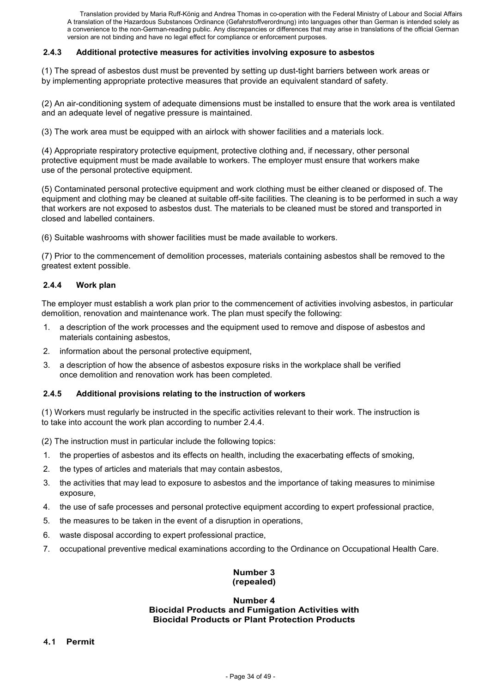#### **2.4.3 Additional protective measures for activities involving exposure to asbestos**

(1) The spread of asbestos dust must be prevented by setting up dust-tight barriers between work areas or by implementing appropriate protective measures that provide an equivalent standard of safety.

(2) An air-conditioning system of adequate dimensions must be installed to ensure that the work area is ventilated and an adequate level of negative pressure is maintained.

(3) The work area must be equipped with an airlock with shower facilities and a materials lock.

(4) Appropriate respiratory protective equipment, protective clothing and, if necessary, other personal protective equipment must be made available to workers. The employer must ensure that workers make use of the personal protective equipment.

(5) Contaminated personal protective equipment and work clothing must be either cleaned or disposed of. The equipment and clothing may be cleaned at suitable off-site facilities. The cleaning is to be performed in such a way that workers are not exposed to asbestos dust. The materials to be cleaned must be stored and transported in closed and labelled containers.

(6) Suitable washrooms with shower facilities must be made available to workers.

(7) Prior to the commencement of demolition processes, materials containing asbestos shall be removed to the greatest extent possible.

#### **2.4.4 Work plan**

The employer must establish a work plan prior to the commencement of activities involving asbestos, in particular demolition, renovation and maintenance work. The plan must specify the following:

- 1. a description of the work processes and the equipment used to remove and dispose of asbestos and materials containing asbestos,
- 2. information about the personal protective equipment,
- 3. a description of how the absence of asbestos exposure risks in the workplace shall be verified once demolition and renovation work has been completed.

#### **2.4.5 Additional provisions relating to the instruction of workers**

(1) Workers must regularly be instructed in the specific activities relevant to their work. The instruction is to take into account the work plan according to number 2.4.4.

(2) The instruction must in particular include the following topics:

- 1. the properties of asbestos and its effects on health, including the exacerbating effects of smoking,
- 2. the types of articles and materials that may contain asbestos,
- 3. the activities that may lead to exposure to asbestos and the importance of taking measures to minimise exposure,
- 4. the use of safe processes and personal protective equipment according to expert professional practice,
- 5. the measures to be taken in the event of a disruption in operations,
- 6. waste disposal according to expert professional practice,
- 7. occupational preventive medical examinations according to the Ordinance on Occupational Health Care.

# **Number 3 (repealed)**

#### **Number 4 Biocidal Products and Fumigation Activities with Biocidal Products or Plant Protection Products**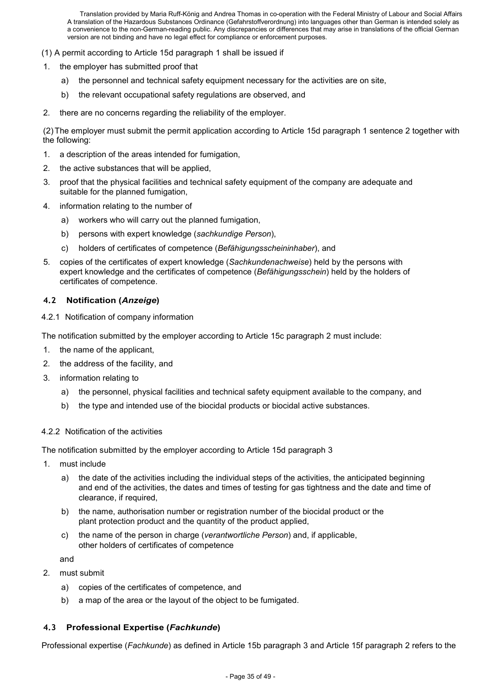(1) A permit according to Article 15d paragraph 1 shall be issued if

- the employer has submitted proof that
	- a) the personnel and technical safety equipment necessary for the activities are on site,
	- b) the relevant occupational safety regulations are observed, and
- 2. there are no concerns regarding the reliability of the employer.

(2) The employer must submit the permit application according to Article 15d paragraph 1 sentence 2 together with the following:

- 1. a description of the areas intended for fumigation,
- 2. the active substances that will be applied,
- 3. proof that the physical facilities and technical safety equipment of the company are adequate and suitable for the planned fumigation,
- 4. information relating to the number of
	- a) workers who will carry out the planned fumigation,
	- b) persons with expert knowledge (*sachkundige Person*),
	- c) holders of certificates of competence (*Befähigungsscheininhaber*), and
- 5. copies of the certificates of expert knowledge (*Sachkundenachweise*) held by the persons with expert knowledge and the certificates of competence (*Befähigungsschein*) held by the holders of certificates of competence.

#### **4.2 Notification (***Anzeige***)**

#### 4.2.1 Notification of company information

The notification submitted by the employer according to Article 15c paragraph 2 must include:

- 1. the name of the applicant,
- 2. the address of the facility, and
- 3. information relating to
	- a) the personnel, physical facilities and technical safety equipment available to the company, and
	- b) the type and intended use of the biocidal products or biocidal active substances.

#### 4.2.2 Notification of the activities

The notification submitted by the employer according to Article 15d paragraph 3

- 1. must include
	- a) the date of the activities including the individual steps of the activities, the anticipated beginning and end of the activities, the dates and times of testing for gas tightness and the date and time of clearance, if required,
	- b) the name, authorisation number or registration number of the biocidal product or the plant protection product and the quantity of the product applied,
	- c) the name of the person in charge (*verantwortliche Person*) and, if applicable, other holders of certificates of competence

and

- 2. must submit
	- a) copies of the certificates of competence, and
	- b) a map of the area or the layout of the object to be fumigated.

#### **4.3 Professional Expertise (***Fachkunde***)**

Professional expertise (*Fachkunde*) as defined in Article 15b paragraph 3 and Article 15f paragraph 2 refers to the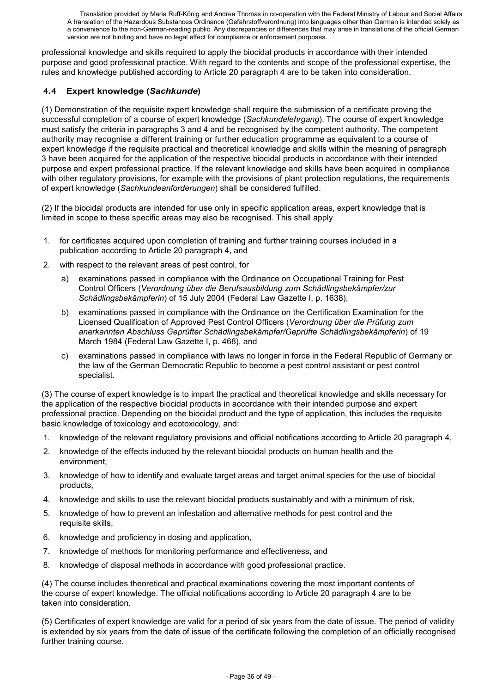professional knowledge and skills required to apply the biocidal products in accordance with their intended purpose and good professional practice. With regard to the contents and scope of the professional expertise, the rules and knowledge published according to Article 20 paragraph 4 are to be taken into consideration.

# **4.4 Expert knowledge (***Sachkunde***)**

(1) Demonstration of the requisite expert knowledge shall require the submission of a certificate proving the successful completion of a course of expert knowledge (*Sachkundelehrgang*). The course of expert knowledge must satisfy the criteria in paragraphs 3 and 4 and be recognised by the competent authority. The competent authority may recognise a different training or further education programme as equivalent to a course of expert knowledge if the requisite practical and theoretical knowledge and skills within the meaning of paragraph 3 have been acquired for the application of the respective biocidal products in accordance with their intended purpose and expert professional practice. If the relevant knowledge and skills have been acquired in compliance with other regulatory provisions, for example with the provisions of plant protection regulations, the requirements of expert knowledge (*Sachkundeanforderungen*) shall be considered fulfilled.

(2) If the biocidal products are intended for use only in specific application areas, expert knowledge that is limited in scope to these specific areas may also be recognised. This shall apply

- 1. for certificates acquired upon completion of training and further training courses included in a publication according to Article 20 paragraph 4, and
- 2. with respect to the relevant areas of pest control, for
	- a) examinations passed in compliance with the Ordinance on Occupational Training for Pest Control Officers (*Verordnung über die Berufsausbildung zum Schädlingsbekämpfer/zur Schädlingsbekämpferin*) of 15 July 2004 (Federal Law Gazette I, p. 1638),
	- b) examinations passed in compliance with the Ordinance on the Certification Examination for the Licensed Qualification of Approved Pest Control Officers (*Verordnung über die Prüfung zum anerkannten Abschluss Geprüfter Schädlingsbekämpfer/Geprüfte Schädlingsbekämpferin*) of 19 March 1984 (Federal Law Gazette I, p. 468), and
	- c) examinations passed in compliance with laws no longer in force in the Federal Republic of Germany or the law of the German Democratic Republic to become a pest control assistant or pest control specialist.

(3) The course of expert knowledge is to impart the practical and theoretical knowledge and skills necessary for the application of the respective biocidal products in accordance with their intended purpose and expert professional practice. Depending on the biocidal product and the type of application, this includes the requisite basic knowledge of toxicology and ecotoxicology, and:

- 1. knowledge of the relevant regulatory provisions and official notifications according to Article 20 paragraph 4,
- 2. knowledge of the effects induced by the relevant biocidal products on human health and the environment,
- 3. knowledge of how to identify and evaluate target areas and target animal species for the use of biocidal products,
- 4. knowledge and skills to use the relevant biocidal products sustainably and with a minimum of risk,
- 5. knowledge of how to prevent an infestation and alternative methods for pest control and the requisite skills,
- 6. knowledge and proficiency in dosing and application,
- 7. knowledge of methods for monitoring performance and effectiveness, and
- 8. knowledge of disposal methods in accordance with good professional practice.

(4) The course includes theoretical and practical examinations covering the most important contents of the course of expert knowledge. The official notifications according to Article 20 paragraph 4 are to be taken into consideration.

(5) Certificates of expert knowledge are valid for a period of six years from the date of issue. The period of validity is extended by six years from the date of issue of the certificate following the completion of an officially recognised further training course.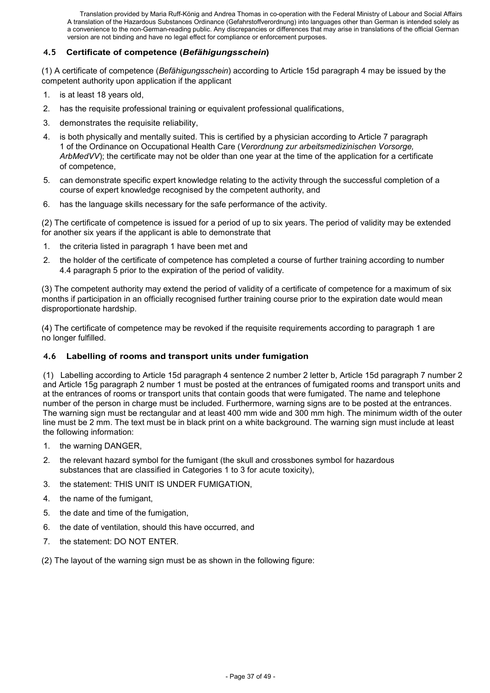# **4.5 Certificate of competence (***Befähigungsschein***)**

(1) A certificate of competence (*Befähigungsschein*) according to Article 15d paragraph 4 may be issued by the competent authority upon application if the applicant

- 1. is at least 18 years old,
- 2. has the requisite professional training or equivalent professional qualifications,
- 3. demonstrates the requisite reliability,
- 4. is both physically and mentally suited. This is certified by a physician according to Article 7 paragraph 1 of the Ordinance on Occupational Health Care (*Verordnung zur arbeitsmedizinischen Vorsorge, ArbMedVV*); the certificate may not be older than one year at the time of the application for a certificate of competence,
- 5. can demonstrate specific expert knowledge relating to the activity through the successful completion of a course of expert knowledge recognised by the competent authority, and
- 6. has the language skills necessary for the safe performance of the activity.

(2) The certificate of competence is issued for a period of up to six years. The period of validity may be extended for another six years if the applicant is able to demonstrate that

- 1. the criteria listed in paragraph 1 have been met and
- 2. the holder of the certificate of competence has completed a course of further training according to number 4.4 paragraph 5 prior to the expiration of the period of validity.

(3) The competent authority may extend the period of validity of a certificate of competence for a maximum of six months if participation in an officially recognised further training course prior to the expiration date would mean disproportionate hardship.

(4) The certificate of competence may be revoked if the requisite requirements according to paragraph 1 are no longer fulfilled.

#### **4.6 Labelling of rooms and transport units under fumigation**

(1) Labelling according to Article 15d paragraph 4 sentence 2 number 2 letter b, Article 15d paragraph 7 number 2 and Article 15g paragraph 2 number 1 must be posted at the entrances of fumigated rooms and transport units and at the entrances of rooms or transport units that contain goods that were fumigated. The name and telephone number of the person in charge must be included. Furthermore, warning signs are to be posted at the entrances. The warning sign must be rectangular and at least 400 mm wide and 300 mm high. The minimum width of the outer line must be 2 mm. The text must be in black print on a white background. The warning sign must include at least the following information:

- 1. the warning DANGER,
- 2. the relevant hazard symbol for the fumigant (the skull and crossbones symbol for hazardous substances that are classified in Categories 1 to 3 for acute toxicity),
- 3. the statement: THIS UNIT IS UNDER FUMIGATION,
- 4. the name of the fumigant,
- 5. the date and time of the fumigation,
- 6. the date of ventilation, should this have occurred, and
- 7. the statement: DO NOT ENTER.
- (2) The layout of the warning sign must be as shown in the following figure: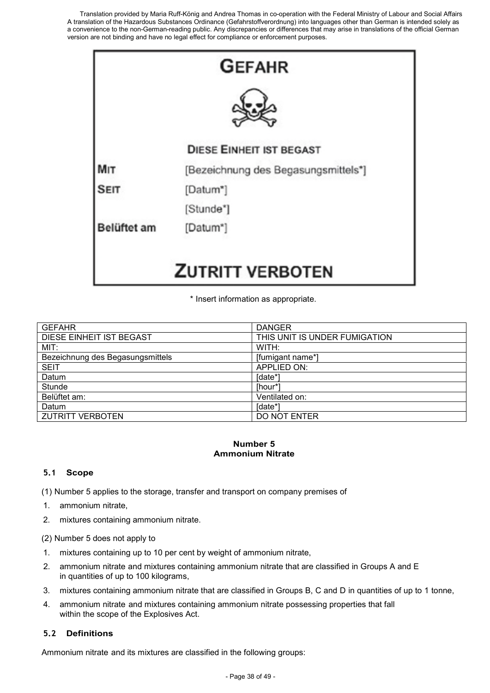

\* Insert information as appropriate.

| <b>GEFAHR</b>                    | <b>DANGER</b>                 |
|----------------------------------|-------------------------------|
| <b>DIESE EINHEIT IST BEGAST</b>  | THIS UNIT IS UNDER FUMIGATION |
| MIT:                             | WITH:                         |
| Bezeichnung des Begasungsmittels | [fumigant name*]              |
| <b>SEIT</b>                      | <b>APPLIED ON:</b>            |
| Datum                            | [date*]                       |
| Stunde                           | [hour*                        |
| Belüftet am:                     | Ventilated on:                |
| Datum                            | [date*]                       |
| <b>ZUTRITT VERBOTEN</b>          | DO NOT ENTER                  |

#### **Number 5 Ammonium Nitrate**

# **5.1 Scope**

(1) Number 5 applies to the storage, transfer and transport on company premises of

- 1. ammonium nitrate,
- 2. mixtures containing ammonium nitrate.
- (2) Number 5 does not apply to
- 1. mixtures containing up to 10 per cent by weight of ammonium nitrate,
- 2. ammonium nitrate and mixtures containing ammonium nitrate that are classified in Groups A and E in quantities of up to 100 kilograms,
- 3. mixtures containing ammonium nitrate that are classified in Groups B, C and D in quantities of up to 1 tonne,
- 4. ammonium nitrate and mixtures containing ammonium nitrate possessing properties that fall within the scope of the Explosives Act.

#### **5.2 Definitions**

Ammonium nitrate and its mixtures are classified in the following groups: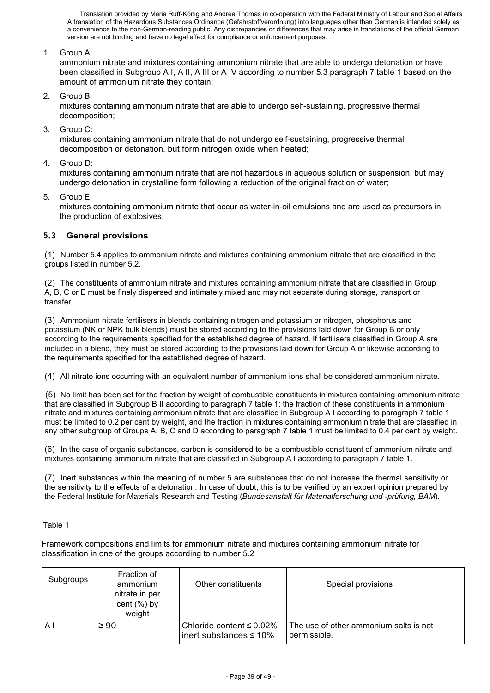1. Group A:

ammonium nitrate and mixtures containing ammonium nitrate that are able to undergo detonation or have been classified in Subgroup A I, A II, A III or A IV according to number 5.3 paragraph 7 table 1 based on the amount of ammonium nitrate they contain;

2. Group B:

mixtures containing ammonium nitrate that are able to undergo self-sustaining, progressive thermal decomposition;

3. Group C:

mixtures containing ammonium nitrate that do not undergo self-sustaining, progressive thermal decomposition or detonation, but form nitrogen oxide when heated;

4. Group D:

mixtures containing ammonium nitrate that are not hazardous in aqueous solution or suspension, but may undergo detonation in crystalline form following a reduction of the original fraction of water;

5. Group E:

mixtures containing ammonium nitrate that occur as water-in-oil emulsions and are used as precursors in the production of explosives.

#### **5.3 General provisions**

(1) Number 5.4 applies to ammonium nitrate and mixtures containing ammonium nitrate that are classified in the groups listed in number 5.2.

(2) The constituents of ammonium nitrate and mixtures containing ammonium nitrate that are classified in Group A, B, C or E must be finely dispersed and intimately mixed and may not separate during storage, transport or transfer.

(3) Ammonium nitrate fertilisers in blends containing nitrogen and potassium or nitrogen, phosphorus and potassium (NK or NPK bulk blends) must be stored according to the provisions laid down for Group B or only according to the requirements specified for the established degree of hazard. If fertilisers classified in Group A are included in a blend, they must be stored according to the provisions laid down for Group A or likewise according to the requirements specified for the established degree of hazard.

(4) All nitrate ions occurring with an equivalent number of ammonium ions shall be considered ammonium nitrate.

(5) No limit has been set for the fraction by weight of combustible constituents in mixtures containing ammonium nitrate that are classified in Subgroup B II according to paragraph 7 table 1; the fraction of these constituents in ammonium nitrate and mixtures containing ammonium nitrate that are classified in Subgroup A I according to paragraph 7 table 1 must be limited to 0.2 per cent by weight, and the fraction in mixtures containing ammonium nitrate that are classified in any other subgroup of Groups A, B, C and D according to paragraph 7 table 1 must be limited to 0.4 per cent by weight.

(6) In the case of organic substances, carbon is considered to be a combustible constituent of ammonium nitrate and mixtures containing ammonium nitrate that are classified in Subgroup A I according to paragraph 7 table 1.

(7) Inert substances within the meaning of number 5 are substances that do not increase the thermal sensitivity or the sensitivity to the effects of a detonation. In case of doubt, this is to be verified by an expert opinion prepared by the Federal Institute for Materials Research and Testing (*Bundesanstalt für Materialforschung und -prüfung, BAM*).

#### Table 1

Framework compositions and limits for ammonium nitrate and mixtures containing ammonium nitrate for classification in one of the groups according to number 5.2

| Subgroups      | Fraction of<br>ammonium<br>nitrate in per<br>cent $(\%)$ by<br>weight | Other constituents                                             | Special provisions                                     |
|----------------|-----------------------------------------------------------------------|----------------------------------------------------------------|--------------------------------------------------------|
| A <sub>1</sub> | $\geq 90$                                                             | Chloride content $\leq 0.02\%$<br>inert substances $\leq 10\%$ | The use of other ammonium salts is not<br>permissible. |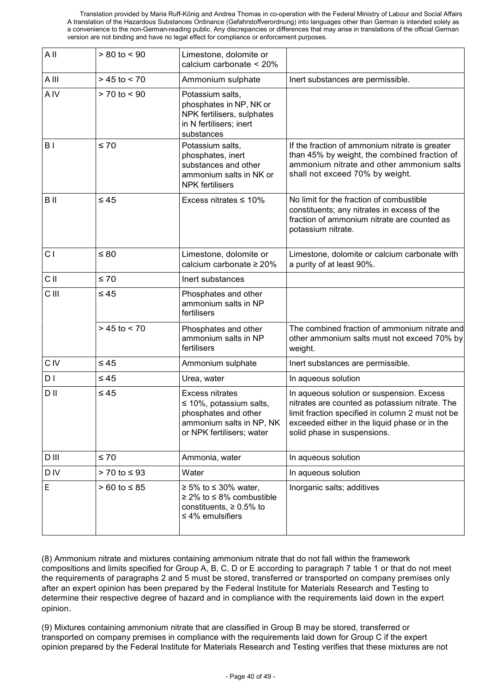| All             | $> 80$ to $< 90$    | Limestone, dolomite or<br>calcium carbonate < 20%                                                                                       |                                                                                                                                                                                                                                 |
|-----------------|---------------------|-----------------------------------------------------------------------------------------------------------------------------------------|---------------------------------------------------------------------------------------------------------------------------------------------------------------------------------------------------------------------------------|
| A III           | $> 45$ to $< 70$    | Ammonium sulphate                                                                                                                       | Inert substances are permissible.                                                                                                                                                                                               |
| A <sub>IV</sub> | $> 70$ to $< 90$    | Potassium salts,<br>phosphates in NP, NK or<br>NPK fertilisers, sulphates<br>in N fertilisers; inert<br>substances                      |                                                                                                                                                                                                                                 |
| B I             | $\leq 70$           | Potassium salts,<br>phosphates, inert<br>substances and other<br>ammonium salts in NK or<br><b>NPK</b> fertilisers                      | If the fraction of ammonium nitrate is greater<br>than 45% by weight, the combined fraction of<br>ammonium nitrate and other ammonium salts<br>shall not exceed 70% by weight.                                                  |
| B II            | $\leq 45$           | Excess nitrates $\leq 10\%$                                                                                                             | No limit for the fraction of combustible<br>constituents; any nitrates in excess of the<br>fraction of ammonium nitrate are counted as<br>potassium nitrate.                                                                    |
| C <sub>1</sub>  | $\leq 80$           | Limestone, dolomite or<br>calcium carbonate ≥ 20%                                                                                       | Limestone, dolomite or calcium carbonate with<br>a purity of at least 90%.                                                                                                                                                      |
| C II            | $\leq 70$           | Inert substances                                                                                                                        |                                                                                                                                                                                                                                 |
| <b>CIII</b>     | $\leq 45$           | Phosphates and other<br>ammonium salts in NP<br>fertilisers                                                                             |                                                                                                                                                                                                                                 |
|                 | $> 45$ to $< 70$    | Phosphates and other<br>ammonium salts in NP<br>fertilisers                                                                             | The combined fraction of ammonium nitrate and<br>other ammonium salts must not exceed 70% by<br>weight.                                                                                                                         |
| <b>CIV</b>      | $\leq 45$           | Ammonium sulphate                                                                                                                       | Inert substances are permissible.                                                                                                                                                                                               |
| D I             | $\leq 45$           | Urea, water                                                                                                                             | In aqueous solution                                                                                                                                                                                                             |
| D II            | $\leq 45$           | <b>Excess nitrates</b><br>$\leq$ 10%, potassium salts,<br>phosphates and other<br>ammonium salts in NP, NK<br>or NPK fertilisers; water | In aqueous solution or suspension. Excess<br>nitrates are counted as potassium nitrate. The<br>limit fraction specified in column 2 must not be<br>exceeded either in the liquid phase or in the<br>solid phase in suspensions. |
| D III           | $\leq 70$           | Ammonia, water                                                                                                                          | In aqueous solution                                                                                                                                                                                                             |
| <b>DIV</b>      | $> 70$ to $\leq 93$ | Water                                                                                                                                   | In aqueous solution                                                                                                                                                                                                             |
| E               | $> 60$ to $\leq 85$ | $\geq 5\%$ to $\leq 30\%$ water,<br>$\geq$ 2% to $\leq$ 8% combustible<br>constituents, $\geq 0.5\%$ to<br>$\leq 4\%$ emulsifiers       | Inorganic salts; additives                                                                                                                                                                                                      |

(8) Ammonium nitrate and mixtures containing ammonium nitrate that do not fall within the framework compositions and limits specified for Group A, B, C, D or E according to paragraph 7 table 1 or that do not meet the requirements of paragraphs 2 and 5 must be stored, transferred or transported on company premises only after an expert opinion has been prepared by the Federal Institute for Materials Research and Testing to determine their respective degree of hazard and in compliance with the requirements laid down in the expert opinion.

(9) Mixtures containing ammonium nitrate that are classified in Group B may be stored, transferred or transported on company premises in compliance with the requirements laid down for Group C if the expert opinion prepared by the Federal Institute for Materials Research and Testing verifies that these mixtures are not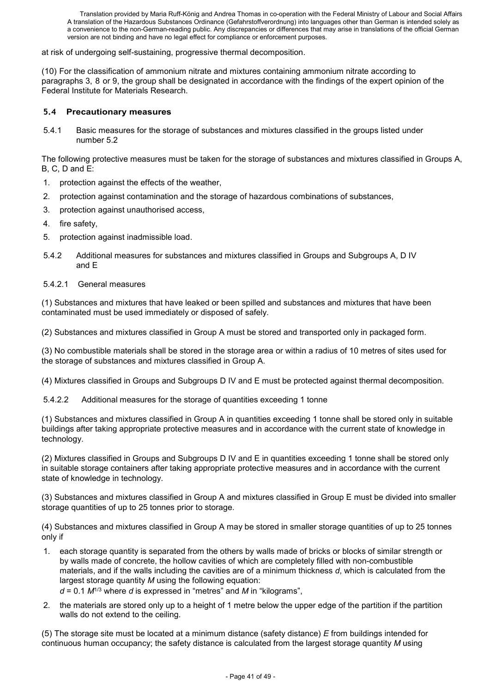at risk of undergoing self-sustaining, progressive thermal decomposition.

(10) For the classification of ammonium nitrate and mixtures containing ammonium nitrate according to paragraphs 3, 8 or 9, the group shall be designated in accordance with the findings of the expert opinion of the Federal Institute for Materials Research.

#### **5.4 Precautionary measures**

5.4.1 Basic measures for the storage of substances and mixtures classified in the groups listed under number 5.2

The following protective measures must be taken for the storage of substances and mixtures classified in Groups A, B, C, D and E:

- 1. protection against the effects of the weather,
- 2. protection against contamination and the storage of hazardous combinations of substances,
- 3. protection against unauthorised access,
- 4. fire safety,
- 5. protection against inadmissible load.
- 5.4.2 Additional measures for substances and mixtures classified in Groups and Subgroups A, D IV and E
- 5.4.2.1 General measures

(1) Substances and mixtures that have leaked or been spilled and substances and mixtures that have been contaminated must be used immediately or disposed of safely.

(2) Substances and mixtures classified in Group A must be stored and transported only in packaged form.

(3) No combustible materials shall be stored in the storage area or within a radius of 10 metres of sites used for the storage of substances and mixtures classified in Group A.

(4) Mixtures classified in Groups and Subgroups D IV and E must be protected against thermal decomposition.

5.4.2.2 Additional measures for the storage of quantities exceeding 1 tonne

(1) Substances and mixtures classified in Group A in quantities exceeding 1 tonne shall be stored only in suitable buildings after taking appropriate protective measures and in accordance with the current state of knowledge in technology.

(2) Mixtures classified in Groups and Subgroups D IV and E in quantities exceeding 1 tonne shall be stored only in suitable storage containers after taking appropriate protective measures and in accordance with the current state of knowledge in technology.

(3) Substances and mixtures classified in Group A and mixtures classified in Group E must be divided into smaller storage quantities of up to 25 tonnes prior to storage.

(4) Substances and mixtures classified in Group A may be stored in smaller storage quantities of up to 25 tonnes only if

- 1. each storage quantity is separated from the others by walls made of bricks or blocks of similar strength or by walls made of concrete, the hollow cavities of which are completely filled with non-combustible materials, and if the walls including the cavities are of a minimum thickness *d*, which is calculated from the largest storage quantity *M* using the following equation:
	- *d* = 0.1 *M*1/3 where *d* is expressed in "metres" and *M* in "kilograms",
- 2. the materials are stored only up to a height of 1 metre below the upper edge of the partition if the partition walls do not extend to the ceiling.

(5) The storage site must be located at a minimum distance (safety distance) *E* from buildings intended for continuous human occupancy; the safety distance is calculated from the largest storage quantity *M* using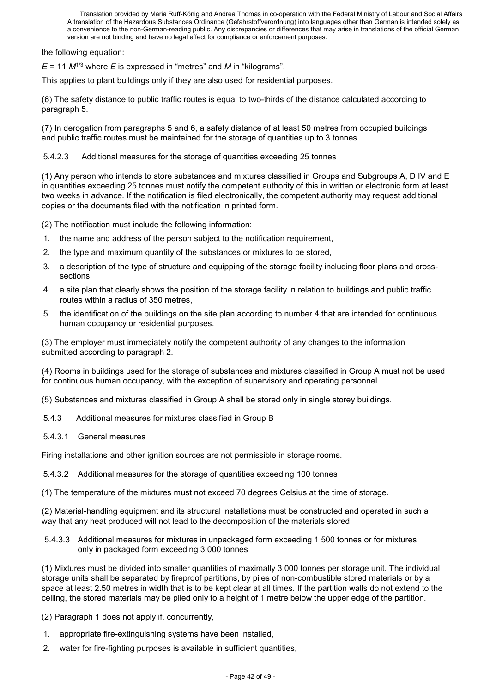the following equation:

*E* = 11 *M*1/3 where *E* is expressed in "metres" and *M* in "kilograms".

This applies to plant buildings only if they are also used for residential purposes.

(6) The safety distance to public traffic routes is equal to two-thirds of the distance calculated according to paragraph 5.

(7) In derogation from paragraphs 5 and 6, a safety distance of at least 50 metres from occupied buildings and public traffic routes must be maintained for the storage of quantities up to 3 tonnes.

5.4.2.3 Additional measures for the storage of quantities exceeding 25 tonnes

(1) Any person who intends to store substances and mixtures classified in Groups and Subgroups A, D IV and E in quantities exceeding 25 tonnes must notify the competent authority of this in written or electronic form at least two weeks in advance. If the notification is filed electronically, the competent authority may request additional copies or the documents filed with the notification in printed form.

(2) The notification must include the following information:

- 1. the name and address of the person subject to the notification requirement,
- 2. the type and maximum quantity of the substances or mixtures to be stored,
- 3. a description of the type of structure and equipping of the storage facility including floor plans and crosssections,
- 4. a site plan that clearly shows the position of the storage facility in relation to buildings and public traffic routes within a radius of 350 metres,
- 5. the identification of the buildings on the site plan according to number 4 that are intended for continuous human occupancy or residential purposes.

(3) The employer must immediately notify the competent authority of any changes to the information submitted according to paragraph 2.

(4) Rooms in buildings used for the storage of substances and mixtures classified in Group A must not be used for continuous human occupancy, with the exception of supervisory and operating personnel.

(5) Substances and mixtures classified in Group A shall be stored only in single storey buildings.

5.4.3 Additional measures for mixtures classified in Group B

5.4.3.1 General measures

Firing installations and other ignition sources are not permissible in storage rooms.

5.4.3.2 Additional measures for the storage of quantities exceeding 100 tonnes

(1) The temperature of the mixtures must not exceed 70 degrees Celsius at the time of storage.

(2) Material-handling equipment and its structural installations must be constructed and operated in such a way that any heat produced will not lead to the decomposition of the materials stored.

5.4.3.3 Additional measures for mixtures in unpackaged form exceeding 1 500 tonnes or for mixtures only in packaged form exceeding 3 000 tonnes

(1) Mixtures must be divided into smaller quantities of maximally 3 000 tonnes per storage unit. The individual storage units shall be separated by fireproof partitions, by piles of non-combustible stored materials or by a space at least 2.50 metres in width that is to be kept clear at all times. If the partition walls do not extend to the ceiling, the stored materials may be piled only to a height of 1 metre below the upper edge of the partition.

(2) Paragraph 1 does not apply if, concurrently,

- 1. appropriate fire-extinguishing systems have been installed,
- 2. water for fire-fighting purposes is available in sufficient quantities,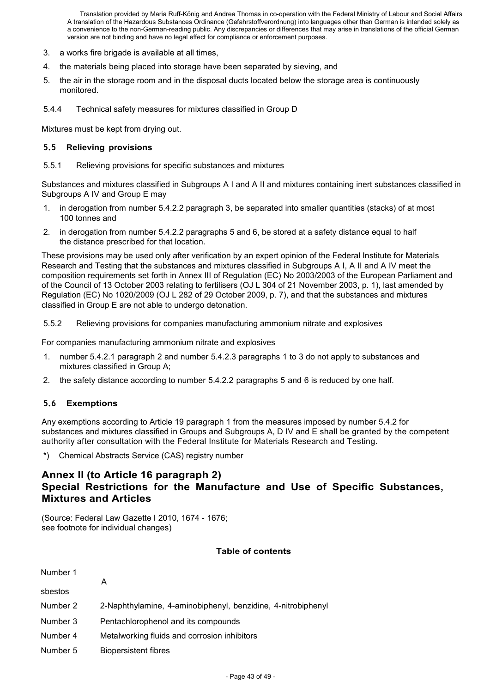- 3. a works fire brigade is available at all times,
- 4. the materials being placed into storage have been separated by sieving, and
- 5. the air in the storage room and in the disposal ducts located below the storage area is continuously monitored.
- 5.4.4 Technical safety measures for mixtures classified in Group D

Mixtures must be kept from drying out.

#### **5.5 Relieving provisions**

5.5.1 Relieving provisions for specific substances and mixtures

Substances and mixtures classified in Subgroups A I and A II and mixtures containing inert substances classified in Subgroups A IV and Group E may

- 1. in derogation from number 5.4.2.2 paragraph 3, be separated into smaller quantities (stacks) of at most 100 tonnes and
- 2. in derogation from number 5.4.2.2 paragraphs 5 and 6, be stored at a safety distance equal to half the distance prescribed for that location.

These provisions may be used only after verification by an expert opinion of the Federal Institute for Materials Research and Testing that the substances and mixtures classified in Subgroups A I, A II and A IV meet the composition requirements set forth in Annex III of Regulation (EC) No 2003/2003 of the European Parliament and of the Council of 13 October 2003 relating to fertilisers (OJ L 304 of 21 November 2003, p. 1), last amended by Regulation (EC) No 1020/2009 (OJ L 282 of 29 October 2009, p. 7), and that the substances and mixtures classified in Group E are not able to undergo detonation.

5.5.2 Relieving provisions for companies manufacturing ammonium nitrate and explosives

For companies manufacturing ammonium nitrate and explosives

- 1. number 5.4.2.1 paragraph 2 and number 5.4.2.3 paragraphs 1 to 3 do not apply to substances and mixtures classified in Group A;
- 2. the safety distance according to number 5.4.2.2 paragraphs 5 and 6 is reduced by one half.

# **5.6 Exemptions**

Any exemptions according to Article 19 paragraph 1 from the measures imposed by number 5.4.2 for substances and mixtures classified in Groups and Subgroups A, D IV and E shall be granted by the competent authority after consultation with the Federal Institute for Materials Research and Testing.

\*) Chemical Abstracts Service (CAS) registry number

# **Annex II (to Article 16 paragraph 2) Special Restrictions for the Manufacture and Use of Specific Substances, Mixtures and Articles**

(Source: Federal Law Gazette I 2010, 1674 - 1676; see footnote for individual changes)

#### **Table of contents**

| Number 1 |                                                              |
|----------|--------------------------------------------------------------|
| sbestos  | A                                                            |
| Number 2 | 2-Naphthylamine, 4-aminobiphenyl, benzidine, 4-nitrobiphenyl |
| Number 3 | Pentachlorophenol and its compounds                          |
| Number 4 | Metalworking fluids and corrosion inhibitors                 |
| Number 5 | <b>Biopersistent fibres</b>                                  |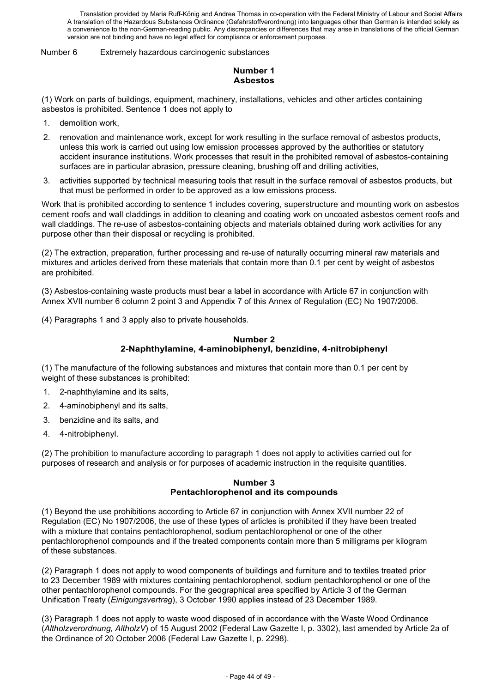Number 6 Extremely hazardous carcinogenic substances

# **Number 1 Asbestos**

(1) Work on parts of buildings, equipment, machinery, installations, vehicles and other articles containing asbestos is prohibited. Sentence 1 does not apply to

- 1. demolition work,
- 2. renovation and maintenance work, except for work resulting in the surface removal of asbestos products, unless this work is carried out using low emission processes approved by the authorities or statutory accident insurance institutions. Work processes that result in the prohibited removal of asbestos-containing surfaces are in particular abrasion, pressure cleaning, brushing off and drilling activities,
- 3. activities supported by technical measuring tools that result in the surface removal of asbestos products, but that must be performed in order to be approved as a low emissions process.

Work that is prohibited according to sentence 1 includes covering, superstructure and mounting work on asbestos cement roofs and wall claddings in addition to cleaning and coating work on uncoated asbestos cement roofs and wall claddings. The re-use of asbestos-containing objects and materials obtained during work activities for any purpose other than their disposal or recycling is prohibited.

(2) The extraction, preparation, further processing and re-use of naturally occurring mineral raw materials and mixtures and articles derived from these materials that contain more than 0.1 per cent by weight of asbestos are prohibited.

(3) Asbestos-containing waste products must bear a label in accordance with Article 67 in conjunction with Annex XVII number 6 column 2 point 3 and Appendix 7 of this Annex of Regulation (EC) No 1907/2006.

(4) Paragraphs 1 and 3 apply also to private households.

#### **Number 2 2-Naphthylamine, 4-aminobiphenyl, benzidine, 4-nitrobiphenyl**

(1) The manufacture of the following substances and mixtures that contain more than 0.1 per cent by weight of these substances is prohibited:

- 1. 2-naphthylamine and its salts,
- 2. 4-aminobiphenyl and its salts,
- 3. benzidine and its salts, and
- 4. 4-nitrobiphenyl.

(2) The prohibition to manufacture according to paragraph 1 does not apply to activities carried out for purposes of research and analysis or for purposes of academic instruction in the requisite quantities.

#### **Number 3 Pentachlorophenol and its compounds**

(1) Beyond the use prohibitions according to Article 67 in conjunction with Annex XVII number 22 of Regulation (EC) No 1907/2006, the use of these types of articles is prohibited if they have been treated with a mixture that contains pentachlorophenol, sodium pentachlorophenol or one of the other pentachlorophenol compounds and if the treated components contain more than 5 milligrams per kilogram of these substances.

(2) Paragraph 1 does not apply to wood components of buildings and furniture and to textiles treated prior to 23 December 1989 with mixtures containing pentachlorophenol, sodium pentachlorophenol or one of the other pentachlorophenol compounds. For the geographical area specified by Article 3 of the German Unification Treaty (*Einigungsvertrag*), 3 October 1990 applies instead of 23 December 1989.

(3) Paragraph 1 does not apply to waste wood disposed of in accordance with the Waste Wood Ordinance (*Altholzverordnung, AltholzV*) of 15 August 2002 (Federal Law Gazette I, p. 3302), last amended by Article 2a of the Ordinance of 20 October 2006 (Federal Law Gazette I, p. 2298).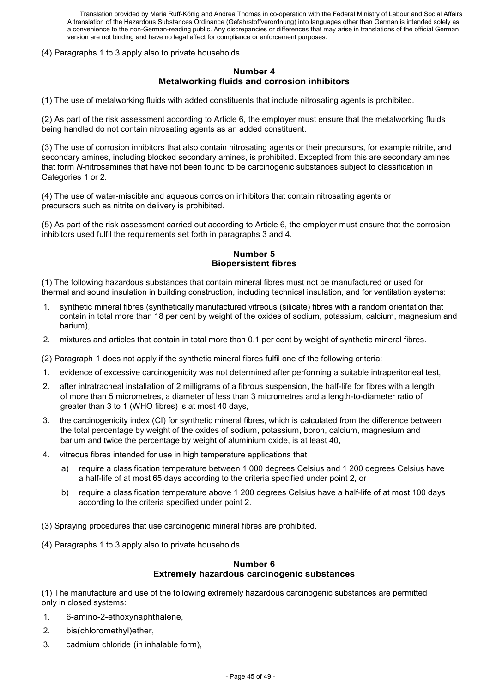(4) Paragraphs 1 to 3 apply also to private households.

#### **Number 4 Metalworking fluids and corrosion inhibitors**

(1) The use of metalworking fluids with added constituents that include nitrosating agents is prohibited.

(2) As part of the risk assessment according to Article 6, the employer must ensure that the metalworking fluids being handled do not contain nitrosating agents as an added constituent.

(3) The use of corrosion inhibitors that also contain nitrosating agents or their precursors, for example nitrite, and secondary amines, including blocked secondary amines, is prohibited. Excepted from this are secondary amines that form *N*-nitrosamines that have not been found to be carcinogenic substances subject to classification in Categories 1 or 2.

(4) The use of water-miscible and aqueous corrosion inhibitors that contain nitrosating agents or precursors such as nitrite on delivery is prohibited.

(5) As part of the risk assessment carried out according to Article 6, the employer must ensure that the corrosion inhibitors used fulfil the requirements set forth in paragraphs 3 and 4.

#### **Number 5 Biopersistent fibres**

(1) The following hazardous substances that contain mineral fibres must not be manufactured or used for thermal and sound insulation in building construction, including technical insulation, and for ventilation systems:

- 1. synthetic mineral fibres (synthetically manufactured vitreous (silicate) fibres with a random orientation that contain in total more than 18 per cent by weight of the oxides of sodium, potassium, calcium, magnesium and barium),
- 2. mixtures and articles that contain in total more than 0.1 per cent by weight of synthetic mineral fibres.

(2) Paragraph 1 does not apply if the synthetic mineral fibres fulfil one of the following criteria:

- 1. evidence of excessive carcinogenicity was not determined after performing a suitable intraperitoneal test,
- 2. after intratracheal installation of 2 milligrams of a fibrous suspension, the half-life for fibres with a length of more than 5 micrometres, a diameter of less than 3 micrometres and a length-to-diameter ratio of greater than 3 to 1 (WHO fibres) is at most 40 days,
- 3. the carcinogenicity index (CI) for synthetic mineral fibres, which is calculated from the difference between the total percentage by weight of the oxides of sodium, potassium, boron, calcium, magnesium and barium and twice the percentage by weight of aluminium oxide, is at least 40,
- 4. vitreous fibres intended for use in high temperature applications that
	- a) require a classification temperature between 1 000 degrees Celsius and 1 200 degrees Celsius have a half-life of at most 65 days according to the criteria specified under point 2, or
	- b) require a classification temperature above 1 200 degrees Celsius have a half-life of at most 100 days according to the criteria specified under point 2.
- (3) Spraying procedures that use carcinogenic mineral fibres are prohibited.
- (4) Paragraphs 1 to 3 apply also to private households.

#### **Number 6 Extremely hazardous carcinogenic substances**

(1) The manufacture and use of the following extremely hazardous carcinogenic substances are permitted only in closed systems:

- 1. 6-amino-2-ethoxynaphthalene,
- 2. bis(chloromethyl)ether,
- 3. cadmium chloride (in inhalable form),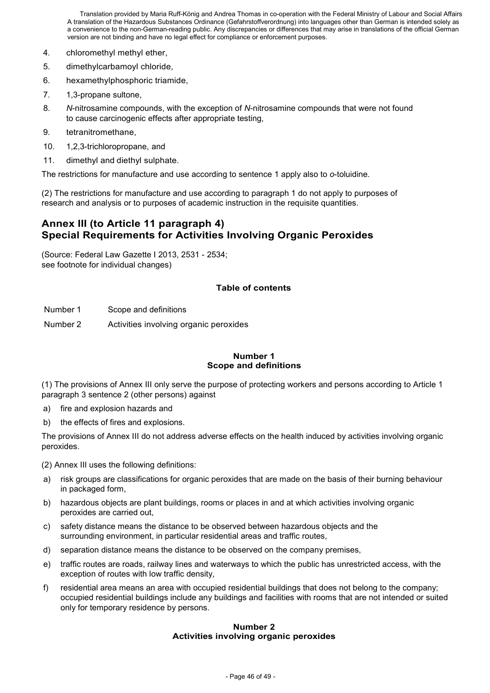- 4. chloromethyl methyl ether,
- 5. dimethylcarbamoyl chloride,
- 6. hexamethylphosphoric triamide,
- 7. 1,3-propane sultone,
- 8. *N*-nitrosamine compounds, with the exception of *N*-nitrosamine compounds that were not found to cause carcinogenic effects after appropriate testing,
- 9. tetranitromethane,
- 10. 1,2,3-trichloropropane, and
- 11. dimethyl and diethyl sulphate.

The restrictions for manufacture and use according to sentence 1 apply also to *o*-toluidine.

(2) The restrictions for manufacture and use according to paragraph 1 do not apply to purposes of research and analysis or to purposes of academic instruction in the requisite quantities.

# **Annex III (to Article 11 paragraph 4) Special Requirements for Activities Involving Organic Peroxides**

(Source: Federal Law Gazette I 2013, 2531 - 2534; see footnote for individual changes)

# **Table of contents**

Number 1 Scope and definitions

Number 2 Activities involving organic peroxides

#### **Number 1 Scope and definitions**

(1) The provisions of Annex III only serve the purpose of protecting workers and persons according to Article 1 paragraph 3 sentence 2 (other persons) against

- a) fire and explosion hazards and
- b) the effects of fires and explosions.

The provisions of Annex III do not address adverse effects on the health induced by activities involving organic peroxides.

(2) Annex III uses the following definitions:

- a) risk groups are classifications for organic peroxides that are made on the basis of their burning behaviour in packaged form,
- b) hazardous objects are plant buildings, rooms or places in and at which activities involving organic peroxides are carried out,
- c) safety distance means the distance to be observed between hazardous objects and the surrounding environment, in particular residential areas and traffic routes,
- d) separation distance means the distance to be observed on the company premises,
- e) traffic routes are roads, railway lines and waterways to which the public has unrestricted access, with the exception of routes with low traffic density,
- f) residential area means an area with occupied residential buildings that does not belong to the company; occupied residential buildings include any buildings and facilities with rooms that are not intended or suited only for temporary residence by persons.

#### **Number 2 Activities involving organic peroxides**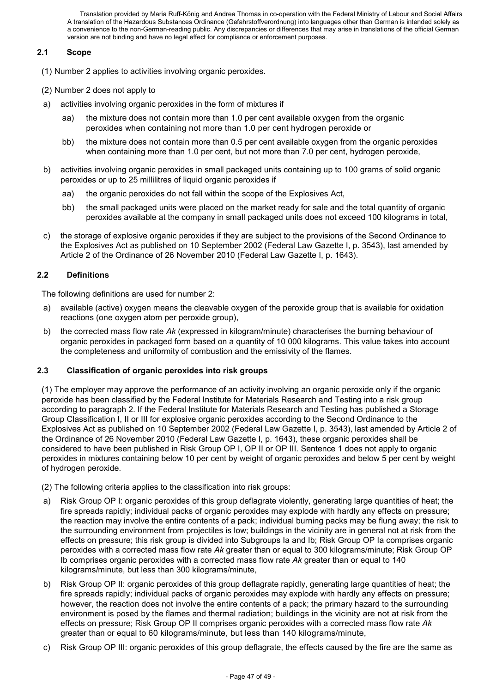### **2.1 Scope**

- (1) Number 2 applies to activities involving organic peroxides.
- (2) Number 2 does not apply to
- a) activities involving organic peroxides in the form of mixtures if
	- aa) the mixture does not contain more than 1.0 per cent available oxygen from the organic peroxides when containing not more than 1.0 per cent hydrogen peroxide or
	- bb) the mixture does not contain more than 0.5 per cent available oxygen from the organic peroxides when containing more than 1.0 per cent, but not more than 7.0 per cent, hydrogen peroxide,
- b) activities involving organic peroxides in small packaged units containing up to 100 grams of solid organic peroxides or up to 25 millilitres of liquid organic peroxides if
	- aa) the organic peroxides do not fall within the scope of the Explosives Act,
	- bb) the small packaged units were placed on the market ready for sale and the total quantity of organic peroxides available at the company in small packaged units does not exceed 100 kilograms in total,
- c) the storage of explosive organic peroxides if they are subject to the provisions of the Second Ordinance to the Explosives Act as published on 10 September 2002 (Federal Law Gazette I, p. 3543), last amended by Article 2 of the Ordinance of 26 November 2010 (Federal Law Gazette I, p. 1643).

# **2.2 Definitions**

The following definitions are used for number 2:

- a) available (active) oxygen means the cleavable oxygen of the peroxide group that is available for oxidation reactions (one oxygen atom per peroxide group),
- b) the corrected mass flow rate *Ak* (expressed in kilogram/minute) characterises the burning behaviour of organic peroxides in packaged form based on a quantity of 10 000 kilograms. This value takes into account the completeness and uniformity of combustion and the emissivity of the flames.

#### **2.3 Classification of organic peroxides into risk groups**

(1) The employer may approve the performance of an activity involving an organic peroxide only if the organic peroxide has been classified by the Federal Institute for Materials Research and Testing into a risk group according to paragraph 2. If the Federal Institute for Materials Research and Testing has published a Storage Group Classification I, II or III for explosive organic peroxides according to the Second Ordinance to the Explosives Act as published on 10 September 2002 (Federal Law Gazette I, p. 3543), last amended by Article 2 of the Ordinance of 26 November 2010 (Federal Law Gazette I, p. 1643), these organic peroxides shall be considered to have been published in Risk Group OP I, OP II or OP III. Sentence 1 does not apply to organic peroxides in mixtures containing below 10 per cent by weight of organic peroxides and below 5 per cent by weight of hydrogen peroxide.

- (2) The following criteria applies to the classification into risk groups:
- Risk Group OP I: organic peroxides of this group deflagrate violently, generating large quantities of heat; the fire spreads rapidly; individual packs of organic peroxides may explode with hardly any effects on pressure; the reaction may involve the entire contents of a pack; individual burning packs may be flung away; the risk to the surrounding environment from projectiles is low; buildings in the vicinity are in general not at risk from the effects on pressure; this risk group is divided into Subgroups Ia and Ib; Risk Group OP Ia comprises organic peroxides with a corrected mass flow rate *Ak* greater than or equal to 300 kilograms/minute; Risk Group OP Ib comprises organic peroxides with a corrected mass flow rate *Ak* greater than or equal to 140 kilograms/minute, but less than 300 kilograms/minute,
- b) Risk Group OP II: organic peroxides of this group deflagrate rapidly, generating large quantities of heat; the fire spreads rapidly; individual packs of organic peroxides may explode with hardly any effects on pressure; however, the reaction does not involve the entire contents of a pack; the primary hazard to the surrounding environment is posed by the flames and thermal radiation; buildings in the vicinity are not at risk from the effects on pressure; Risk Group OP II comprises organic peroxides with a corrected mass flow rate *Ak* greater than or equal to 60 kilograms/minute, but less than 140 kilograms/minute,
- c) Risk Group OP III: organic peroxides of this group deflagrate, the effects caused by the fire are the same as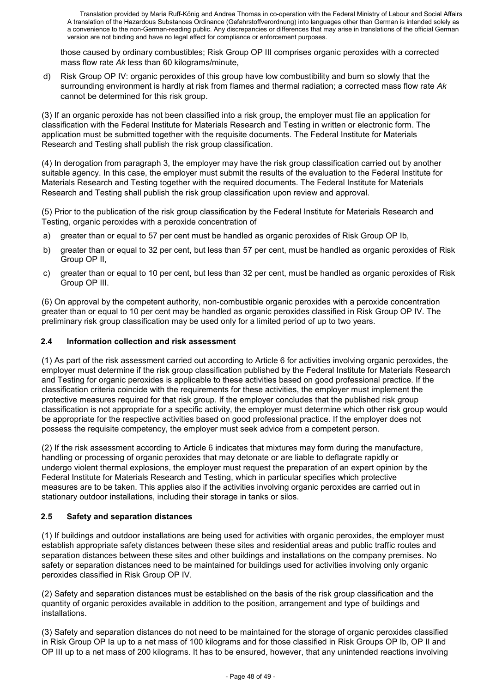those caused by ordinary combustibles; Risk Group OP III comprises organic peroxides with a corrected mass flow rate *Ak* less than 60 kilograms/minute,

d) Risk Group OP IV: organic peroxides of this group have low combustibility and burn so slowly that the surrounding environment is hardly at risk from flames and thermal radiation; a corrected mass flow rate *Ak* cannot be determined for this risk group.

(3) If an organic peroxide has not been classified into a risk group, the employer must file an application for classification with the Federal Institute for Materials Research and Testing in written or electronic form. The application must be submitted together with the requisite documents. The Federal Institute for Materials Research and Testing shall publish the risk group classification.

(4) In derogation from paragraph 3, the employer may have the risk group classification carried out by another suitable agency. In this case, the employer must submit the results of the evaluation to the Federal Institute for Materials Research and Testing together with the required documents. The Federal Institute for Materials Research and Testing shall publish the risk group classification upon review and approval.

(5) Prior to the publication of the risk group classification by the Federal Institute for Materials Research and Testing, organic peroxides with a peroxide concentration of

- a) greater than or equal to 57 per cent must be handled as organic peroxides of Risk Group OP Ib,
- b) greater than or equal to 32 per cent, but less than 57 per cent, must be handled as organic peroxides of Risk Group OP II,
- c) greater than or equal to 10 per cent, but less than 32 per cent, must be handled as organic peroxides of Risk Group OP III.

(6) On approval by the competent authority, non-combustible organic peroxides with a peroxide concentration greater than or equal to 10 per cent may be handled as organic peroxides classified in Risk Group OP IV. The preliminary risk group classification may be used only for a limited period of up to two years.

### **2.4 Information collection and risk assessment**

(1) As part of the risk assessment carried out according to Article 6 for activities involving organic peroxides, the employer must determine if the risk group classification published by the Federal Institute for Materials Research and Testing for organic peroxides is applicable to these activities based on good professional practice. If the classification criteria coincide with the requirements for these activities, the employer must implement the protective measures required for that risk group. If the employer concludes that the published risk group classification is not appropriate for a specific activity, the employer must determine which other risk group would be appropriate for the respective activities based on good professional practice. If the employer does not possess the requisite competency, the employer must seek advice from a competent person.

(2) If the risk assessment according to Article 6 indicates that mixtures may form during the manufacture, handling or processing of organic peroxides that may detonate or are liable to deflagrate rapidly or undergo violent thermal explosions, the employer must request the preparation of an expert opinion by the Federal Institute for Materials Research and Testing, which in particular specifies which protective measures are to be taken. This applies also if the activities involving organic peroxides are carried out in stationary outdoor installations, including their storage in tanks or silos.

#### **2.5 Safety and separation distances**

(1) If buildings and outdoor installations are being used for activities with organic peroxides, the employer must establish appropriate safety distances between these sites and residential areas and public traffic routes and separation distances between these sites and other buildings and installations on the company premises. No safety or separation distances need to be maintained for buildings used for activities involving only organic peroxides classified in Risk Group OP IV.

(2) Safety and separation distances must be established on the basis of the risk group classification and the quantity of organic peroxides available in addition to the position, arrangement and type of buildings and installations.

(3) Safety and separation distances do not need to be maintained for the storage of organic peroxides classified in Risk Group OP Ia up to a net mass of 100 kilograms and for those classified in Risk Groups OP Ib, OP II and OP III up to a net mass of 200 kilograms. It has to be ensured, however, that any unintended reactions involving